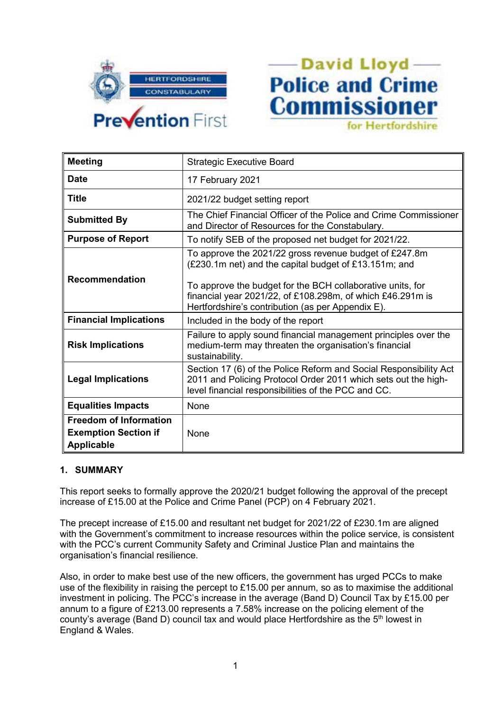



| <b>Meeting</b>                                                                    | <b>Strategic Executive Board</b>                                                                                                                                                           |
|-----------------------------------------------------------------------------------|--------------------------------------------------------------------------------------------------------------------------------------------------------------------------------------------|
| <b>Date</b>                                                                       | 17 February 2021                                                                                                                                                                           |
| <b>Title</b>                                                                      | 2021/22 budget setting report                                                                                                                                                              |
| <b>Submitted By</b>                                                               | The Chief Financial Officer of the Police and Crime Commissioner<br>and Director of Resources for the Constabulary.                                                                        |
| <b>Purpose of Report</b>                                                          | To notify SEB of the proposed net budget for 2021/22.                                                                                                                                      |
| <b>Recommendation</b>                                                             | To approve the 2021/22 gross revenue budget of £247.8m<br>(£230.1m net) and the capital budget of £13.151m; and                                                                            |
|                                                                                   | To approve the budget for the BCH collaborative units, for<br>financial year 2021/22, of £108.298m, of which £46.291m is<br>Hertfordshire's contribution (as per Appendix E).              |
| <b>Financial Implications</b>                                                     | Included in the body of the report                                                                                                                                                         |
| <b>Risk Implications</b>                                                          | Failure to apply sound financial management principles over the<br>medium-term may threaten the organisation's financial<br>sustainability.                                                |
| <b>Legal Implications</b>                                                         | Section 17 (6) of the Police Reform and Social Responsibility Act<br>2011 and Policing Protocol Order 2011 which sets out the high-<br>level financial responsibilities of the PCC and CC. |
| <b>Equalities Impacts</b>                                                         | None                                                                                                                                                                                       |
| <b>Freedom of Information</b><br><b>Exemption Section if</b><br><b>Applicable</b> | None                                                                                                                                                                                       |

# **1. SUMMARY**

This report seeks to formally approve the 2020/21 budget following the approval of the precept increase of £15.00 at the Police and Crime Panel (PCP) on 4 February 2021.

The precept increase of £15.00 and resultant net budget for 2021/22 of £230.1m are aligned with the Government's commitment to increase resources within the police service, is consistent with the PCC's current Community Safety and Criminal Justice Plan and maintains the organisation's financial resilience.

Also, in order to make best use of the new officers, the government has urged PCCs to make use of the flexibility in raising the percept to £15.00 per annum, so as to maximise the additional investment in policing. The PCC's increase in the average (Band D) Council Tax by £15.00 per annum to a figure of £213.00 represents a 7.58% increase on the policing element of the county's average (Band D) council tax and would place Hertfordshire as the 5<sup>th</sup> lowest in England & Wales.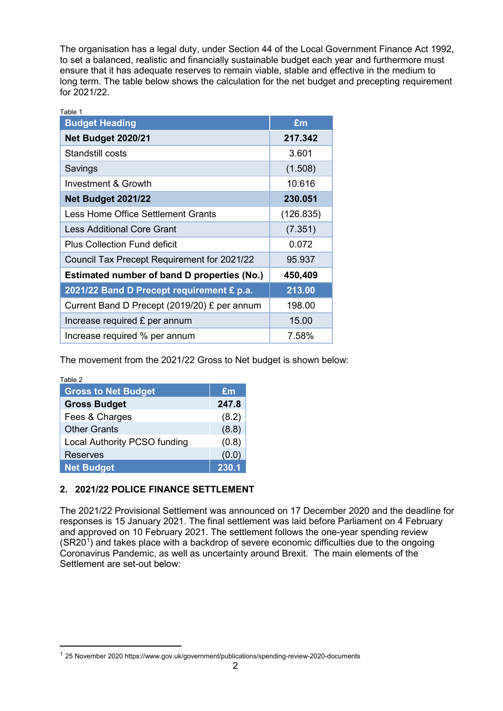The organisation has a legal duty, under Section 44 of the Local Government Finance Act 1992, to set a balanced, realistic and financially sustainable budget each year and furthermore must ensure that it has adequate reserves to remain viable, stable and effective in the medium to long term. The table below shows the calculation for the net budget and precepting requirement for 2021/22.

| Table 1                                      |           |
|----------------------------------------------|-----------|
| <b>Budget Heading</b>                        | £m        |
| <b>Net Budget 2020/21</b>                    | 217.342   |
| Standstill costs                             | 3.601     |
| Savings                                      | (1.508)   |
| Investment & Growth                          | 10.616    |
| <b>Net Budget 2021/22</b>                    | 230.051   |
| Less Home Office Settlement Grants           | (126.835) |
| <b>Less Additional Core Grant</b>            | (7.351)   |
| <b>Plus Collection Fund deficit</b>          | 0.072     |
| Council Tax Precept Requirement for 2021/22  | 95.937    |
| Estimated number of band D properties (No.)  | 450,409   |
| 2021/22 Band D Precept requirement £ p.a.    | 213.00    |
| Current Band D Precept (2019/20) £ per annum | 198.00    |
| Increase required £ per annum                | 15.00     |
| Increase required % per annum                | 7.58%     |

The movement from the 2021/22 Gross to Net budget is shown below:

| <b>Gross to Net Budget</b>          | £m    |
|-------------------------------------|-------|
| <b>Gross Budget</b>                 | 247.8 |
| Fees & Charges                      | (8.2) |
| <b>Other Grants</b>                 | (8.8) |
| <b>Local Authority PCSO funding</b> | (0.8) |
| <b>Reserves</b>                     | (0.0) |
| <b>Net Budget</b>                   | 230.1 |

# **2. 2021/22 POLICE FINANCE SETTLEMENT**

<u>.</u>

The 2021/22 Provisional Settlement was announced on 17 December 2020 and the deadline for responses is 15 January 2021. The final settlement was laid before Parliament on 4 February and approved on 10 February 2021. The settlement follows the one-year spending review (SR20<sup>[1](#page-1-0)</sup>) and takes place with a backdrop of severe economic difficulties due to the ongoing Coronavirus Pandemic, as well as uncertainty around Brexit. The main elements of the Settlement are set-out below:

<span id="page-1-0"></span><sup>1</sup> 25 November 2020 https://www.gov.uk/government/publications/spending-review-2020-documents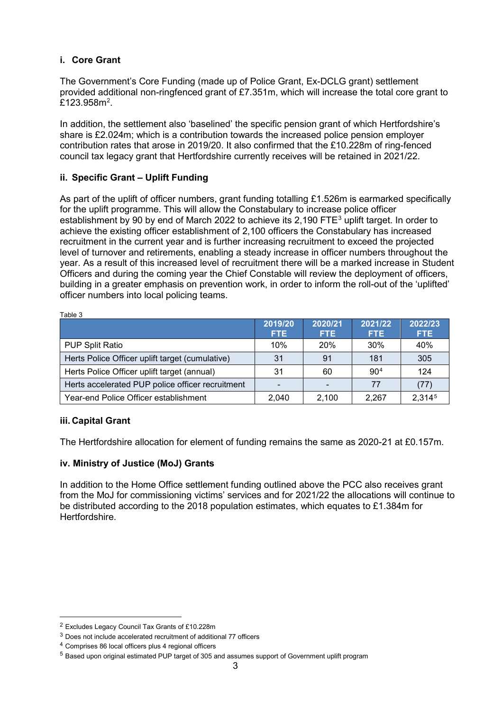# **i. Core Grant**

The Government's Core Funding (made up of Police Grant, Ex-DCLG grant) settlement provided additional non-ringfenced grant of £7.351m, which will increase the total core grant to  $£123.958m<sup>2</sup>$ .

In addition, the settlement also 'baselined' the specific pension grant of which Hertfordshire's share is £2.024m; which is a contribution towards the increased police pension employer contribution rates that arose in 2019/20. It also confirmed that the £10.228m of ring-fenced council tax legacy grant that Hertfordshire currently receives will be retained in 2021/22.

## **ii. Specific Grant – Uplift Funding**

As part of the uplift of officer numbers, grant funding totalling £1.526m is earmarked specifically for the uplift programme. This will allow the Constabulary to increase police officer establishment by 90 by end of March 2022 to achieve its 2.190 FTE<sup>[3](#page-2-1)</sup> uplift target. In order to achieve the existing officer establishment of 2,100 officers the Constabulary has increased recruitment in the current year and is further increasing recruitment to exceed the projected level of turnover and retirements, enabling a steady increase in officer numbers throughout the year. As a result of this increased level of recruitment there will be a marked increase in Student Officers and during the coming year the Chief Constable will review the deployment of officers, building in a greater emphasis on prevention work, in order to inform the roll-out of the 'uplifted' officer numbers into local policing teams.

|                                                  | 2019/20<br><b>FTE</b> | 2020/21<br><b>FTE</b> | 2021/22<br><b>FTE</b> | 2022/23<br>FTE. |
|--------------------------------------------------|-----------------------|-----------------------|-----------------------|-----------------|
| <b>PUP Split Ratio</b>                           | 10%                   | 20%                   | 30%                   | 40%             |
| Herts Police Officer uplift target (cumulative)  | 31                    | .91                   | 181                   | 305             |
| Herts Police Officer uplift target (annual)      | 31                    | 60                    | 90 <sup>4</sup>       | 124             |
| Herts accelerated PUP police officer recruitment |                       |                       | 77                    | (77)            |
| Year-end Police Officer establishment            | 2,040                 | 2,100                 | 2,267                 | 2,3145          |

#### **iii. Capital Grant**

Table 3

<u>.</u>

The Hertfordshire allocation for element of funding remains the same as 2020-21 at £0.157m.

#### **iv. Ministry of Justice (MoJ) Grants**

In addition to the Home Office settlement funding outlined above the PCC also receives grant from the MoJ for commissioning victims' services and for 2021/22 the allocations will continue to be distributed according to the 2018 population estimates, which equates to £1.384m for **Hertfordshire** 

<span id="page-2-0"></span><sup>2</sup> Excludes Legacy Council Tax Grants of £10.228m

<span id="page-2-1"></span> $3$  Does not include accelerated recruitment of additional 77 officers

<span id="page-2-2"></span><sup>4</sup> Comprises 86 local officers plus 4 regional officers

<span id="page-2-3"></span><sup>5</sup> Based upon original estimated PUP target of 305 and assumes support of Government uplift program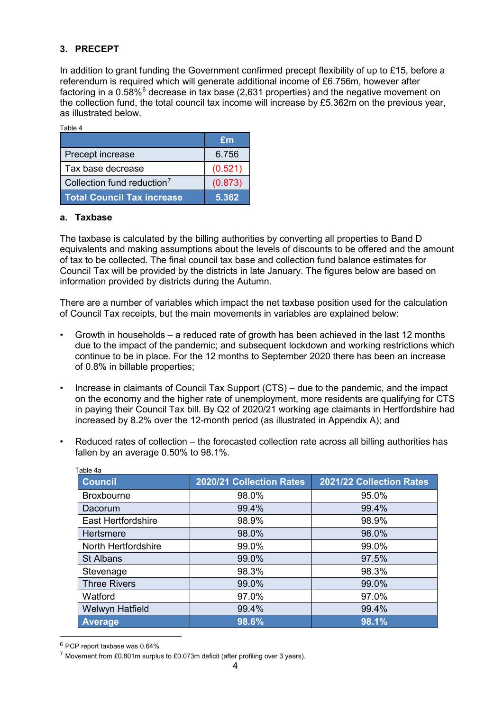# **3. PRECEPT**

In addition to grant funding the Government confirmed precept flexibility of up to £15, before a referendum is required which will generate additional income of £6.756m, however after factoring in a  $0.58\%$ <sup>[6](#page-3-0)</sup> decrease in tax base (2,631 properties) and the negative movement on the collection fund, the total council tax income will increase by £5.362m on the previous year, as illustrated below.

| Table 4                                | £m      |
|----------------------------------------|---------|
| Precept increase                       | 6.756   |
| Tax base decrease                      | (0.521) |
| Collection fund reduction <sup>7</sup> | (0.873) |
| <b>Total Council Tax increase</b>      | 5.362   |

#### **a. Taxbase**

The taxbase is calculated by the billing authorities by converting all properties to Band D equivalents and making assumptions about the levels of discounts to be offered and the amount of tax to be collected. The final council tax base and collection fund balance estimates for Council Tax will be provided by the districts in late January. The figures below are based on information provided by districts during the Autumn.

There are a number of variables which impact the net taxbase position used for the calculation of Council Tax receipts, but the main movements in variables are explained below:

- Growth in households a reduced rate of growth has been achieved in the last 12 months due to the impact of the pandemic; and subsequent lockdown and working restrictions which continue to be in place. For the 12 months to September 2020 there has been an increase of 0.8% in billable properties;
- Increase in claimants of Council Tax Support (CTS) due to the pandemic, and the impact on the economy and the higher rate of unemployment, more residents are qualifying for CTS in paying their Council Tax bill. By Q2 of 2020/21 working age claimants in Hertfordshire had increased by 8.2% over the 12-month period (as illustrated in Appendix A); and
- Reduced rates of collection the forecasted collection rate across all billing authorities has fallen by an average 0.50% to 98.1%.

| Table 4a                  |                          |                          |
|---------------------------|--------------------------|--------------------------|
| <b>Council</b>            | 2020/21 Collection Rates | 2021/22 Collection Rates |
| <b>Broxbourne</b>         | 98.0%                    | 95.0%                    |
| Dacorum                   | 99.4%                    | 99.4%                    |
| <b>East Hertfordshire</b> | 98.9%                    | 98.9%                    |
| <b>Hertsmere</b>          | 98.0%                    | 98.0%                    |
| North Hertfordshire       | 99.0%                    | 99.0%                    |
| <b>St Albans</b>          | 99.0%                    | 97.5%                    |
| Stevenage                 | 98.3%                    | 98.3%                    |
| <b>Three Rivers</b>       | 99.0%                    | 99.0%                    |
| Watford                   | 97.0%                    | 97.0%                    |
| Welwyn Hatfield           | 99.4%                    | 99.4%                    |
| <b>Average</b>            | 98.6%                    | 98.1%                    |

<span id="page-3-0"></span><sup>6</sup> PCP report taxbase was 0.64%

-

<span id="page-3-1"></span><sup>7</sup> Movement from £0.801m surplus to £0.073m deficit (after profiling over 3 years).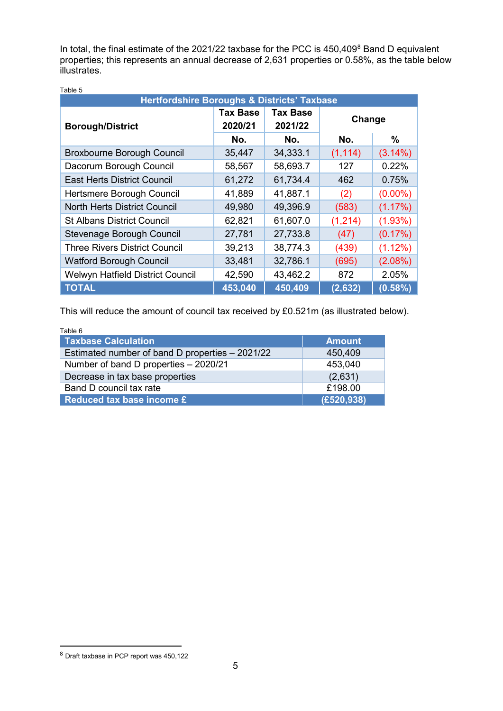In total, the final estimate of the 2021/22 taxbase for the PCC is  $450,409^8$  $450,409^8$  Band D equivalent properties; this represents an annual decrease of 2,631 properties or 0.58%, as the table below illustrates.

| <b>Hertfordshire Boroughs &amp; Districts' Taxbase</b> |                            |                                      |          |            |  |
|--------------------------------------------------------|----------------------------|--------------------------------------|----------|------------|--|
| <b>Borough/District</b>                                | <b>Tax Base</b><br>2020/21 | <b>Tax Base</b><br>Change<br>2021/22 |          |            |  |
|                                                        | No.                        | No.                                  | No.      | %          |  |
| <b>Broxbourne Borough Council</b>                      | 35,447                     | 34,333.1                             | (1, 114) | $(3.14\%)$ |  |
| Dacorum Borough Council                                | 58,567                     | 58,693.7                             | 127      | 0.22%      |  |
| <b>East Herts District Council</b>                     | 61,272                     | 61,734.4                             | 462      | 0.75%      |  |
| Hertsmere Borough Council                              | 41,889                     | 41,887.1                             | (2)      | $(0.00\%)$ |  |
| <b>North Herts District Council</b>                    | 49,980                     | 49,396.9                             | (583)    | (1.17%)    |  |
| <b>St Albans District Council</b>                      | 62,821                     | 61,607.0                             | (1, 214) | (1.93%)    |  |
| Stevenage Borough Council                              | 27,781                     | 27,733.8                             | (47)     | (0.17%)    |  |
| <b>Three Rivers District Council</b>                   | 39,213                     | 38,774.3                             | (439)    | $(1.12\%)$ |  |
| <b>Watford Borough Council</b>                         | 33,481                     | 32,786.1                             | (695)    | $(2.08\%)$ |  |
| Welwyn Hatfield District Council                       | 42,590                     | 43,462.2                             | 872      | 2.05%      |  |
| <b>TOTAL</b>                                           | 453,040                    | 450,409                              | (2, 632) | $(0.58\%)$ |  |

Table 5

This will reduce the amount of council tax received by £0.521m (as illustrated below).

| Table 6                                         |               |
|-------------------------------------------------|---------------|
| <b>Taxbase Calculation</b>                      | <b>Amount</b> |
| Estimated number of band D properties - 2021/22 | 450,409       |
| Number of band D properties - 2020/21           | 453,040       |
| Decrease in tax base properties                 | (2,631)       |
| Band D council tax rate                         | £198.00       |
| Reduced tax base income £                       | (E520, 938)   |

<span id="page-4-0"></span><sup>8</sup> Draft taxbase in PCP report was 450,122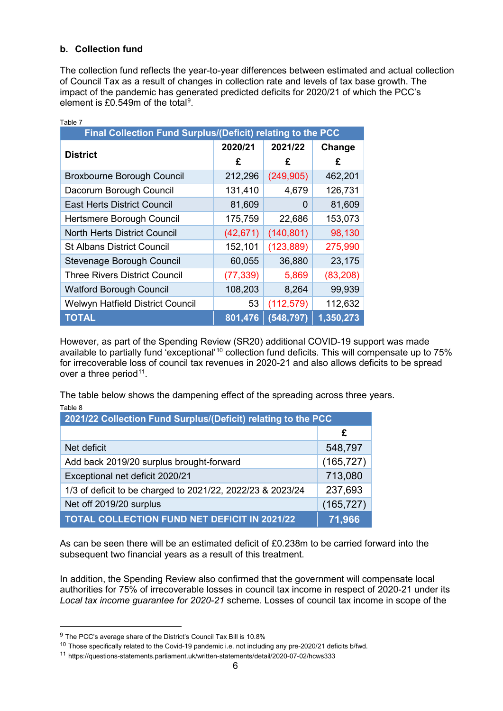# **b. Collection fund**

 $\equiv$   $\pm$   $\pm$ 

The collection fund reflects the year-to-year differences between estimated and actual collection of Council Tax as a result of changes in collection rate and levels of tax base growth. The impact of the pandemic has generated predicted deficits for 2020/21 of which the PCC's element is £0.54[9](#page-5-0)m of the total<sup>9</sup>.

| Final Collection Fund Surplus/(Deficit) relating to the PCC |           |            |           |  |  |
|-------------------------------------------------------------|-----------|------------|-----------|--|--|
|                                                             | 2020/21   | 2021/22    | Change    |  |  |
| <b>District</b>                                             | £         | £          | £         |  |  |
| <b>Broxbourne Borough Council</b>                           | 212,296   | (249, 905) | 462,201   |  |  |
| Dacorum Borough Council                                     | 131,410   | 4,679      | 126,731   |  |  |
| <b>East Herts District Council</b>                          | 81,609    | 0          | 81,609    |  |  |
| Hertsmere Borough Council                                   | 175,759   | 22,686     | 153,073   |  |  |
| <b>North Herts District Council</b>                         | (42, 671) | (140, 801) | 98,130    |  |  |
| <b>St Albans District Council</b>                           | 152,101   | (123, 889) | 275,990   |  |  |
| Stevenage Borough Council                                   | 60,055    | 36,880     | 23,175    |  |  |
| <b>Three Rivers District Council</b>                        | (77, 339) | 5,869      | (83, 208) |  |  |
| <b>Watford Borough Council</b>                              | 108,203   | 8,264      | 99,939    |  |  |
| Welwyn Hatfield District Council                            | 53        | (112, 579) | 112,632   |  |  |
| <b>TOTAL</b>                                                | 801,476   | (548, 797) | 1,350,273 |  |  |

However, as part of the Spending Review (SR20) additional COVID-19 support was made available to partially fund 'exceptional'<sup>[10](#page-5-1)</sup> collection fund deficits. This will compensate up to 75% for irrecoverable loss of council tax revenues in 2020-21 and also allows deficits to be spread over a three period $11$ .

The table below shows the dampening effect of the spreading across three years. Table 8

| 2021/22 Collection Fund Surplus/(Deficit) relating to the PCC |            |  |  |
|---------------------------------------------------------------|------------|--|--|
|                                                               | £          |  |  |
| Net deficit                                                   | 548,797    |  |  |
| Add back 2019/20 surplus brought-forward                      | (165, 727) |  |  |
| Exceptional net deficit 2020/21                               | 713,080    |  |  |
| 1/3 of deficit to be charged to 2021/22, 2022/23 & 2023/24    | 237,693    |  |  |
| Net off 2019/20 surplus                                       | (165, 727) |  |  |
| <b>TOTAL COLLECTION FUND NET DEFICIT IN 2021/22</b>           | 71,966     |  |  |

As can be seen there will be an estimated deficit of £0.238m to be carried forward into the subsequent two financial years as a result of this treatment.

In addition, the Spending Review also confirmed that the government will compensate local authorities for 75% of irrecoverable losses in council tax income in respect of 2020-21 under its *Local tax income guarantee for 2020-21* scheme. Losses of council tax income in scope of the

<span id="page-5-0"></span><sup>9</sup> The PCC's average share of the District's Council Tax Bill is 10.8%

<span id="page-5-1"></span><sup>&</sup>lt;sup>10</sup> Those specifically related to the Covid-19 pandemic i.e. not including any pre-2020/21 deficits b/fwd.

<span id="page-5-2"></span><sup>11</sup> https://questions-statements.parliament.uk/written-statements/detail/2020-07-02/hcws333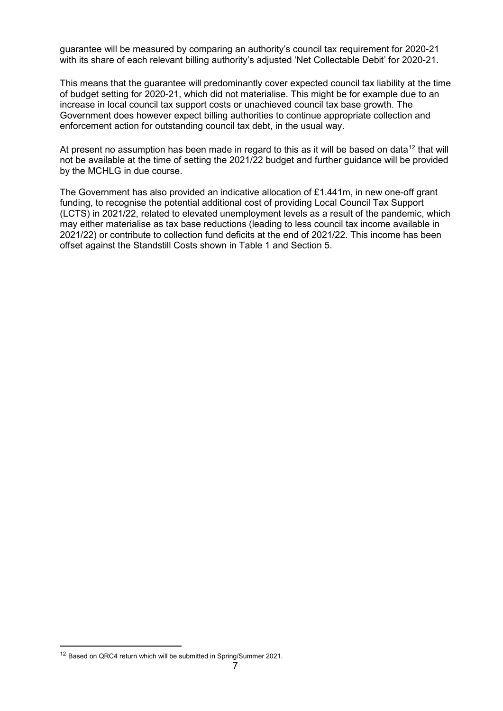guarantee will be measured by comparing an authority's council tax requirement for 2020-21 with its share of each relevant billing authority's adjusted 'Net Collectable Debit' for 2020-21.

This means that the guarantee will predominantly cover expected council tax liability at the time of budget setting for 2020-21, which did not materialise. This might be for example due to an increase in local council tax support costs or unachieved council tax base growth. The Government does however expect billing authorities to continue appropriate collection and enforcement action for outstanding council tax debt, in the usual way.

At present no assumption has been made in regard to this as it will be based on data<sup>[12](#page-6-0)</sup> that will not be available at the time of setting the 2021/22 budget and further guidance will be provided by the MCHLG in due course.

The Government has also provided an indicative allocation of £1.441m, in new one-off grant funding, to recognise the potential additional cost of providing Local Council Tax Support (LCTS) in 2021/22, related to elevated unemployment levels as a result of the pandemic, which may either materialise as tax base reductions (leading to less council tax income available in 2021/22) or contribute to collection fund deficits at the end of 2021/22. This income has been offset against the Standstill Costs shown in Table 1 and Section 5.

<span id="page-6-0"></span><sup>12</sup> Based on QRC4 return which will be submitted in Spring/Summer 2021.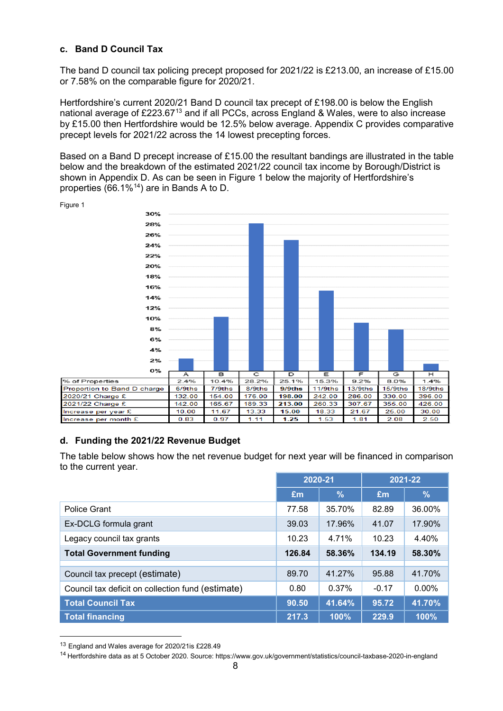# **c. Band D Council Tax**

The band D council tax policing precept proposed for 2021/22 is £213.00, an increase of £15.00 or 7.58% on the comparable figure for 2020/21.

Hertfordshire's current 2020/21 Band D council tax precept of £198.00 is below the English national average of £223.67<sup>[13](#page-7-0)</sup> and if all PCCs, across England & Wales, were to also increase by £15.00 then Hertfordshire would be 12.5% below average. Appendix C provides comparative precept levels for 2021/22 across the 14 lowest precepting forces.

Based on a Band D precept increase of £15.00 the resultant bandings are illustrated in the table below and the breakdown of the estimated 2021/22 council tax income by Borough/District is shown in Appendix D. As can be seen in Figure 1 below the majority of Hertfordshire's properties (66.1% $14$ ) are in Bands A to D.



#### **d. Funding the 2021/22 Revenue Budget**

The table below shows how the net revenue budget for next year will be financed in comparison to the current year.

|                                                   | 2020-21 |        |         | 2021-22  |
|---------------------------------------------------|---------|--------|---------|----------|
|                                                   | Em      | %      | Em      | $\%$     |
| Police Grant                                      | 77.58   | 35.70% | 82.89   | 36.00%   |
| Ex-DCLG formula grant                             | 39.03   | 17.96% | 41.07   | 17.90%   |
| Legacy council tax grants                         | 10.23   | 4.71%  | 10.23   | 4.40%    |
| <b>Total Government funding</b>                   | 126.84  | 58.36% | 134.19  | 58.30%   |
| Council tax precept (estimate)                    | 89.70   | 41.27% | 95.88   | 41.70%   |
| Council tax deficit on collection fund (estimate) | 0.80    | 0.37%  | $-0.17$ | $0.00\%$ |
| <b>Total Council Tax</b>                          | 90.50   | 41.64% | 95.72   | 41.70%   |
| <b>Total financing</b>                            | 217.3   | 100%   | 229.9   | 100%     |

<span id="page-7-0"></span><sup>13</sup> England and Wales average for 2020/21is £228.49

-

<span id="page-7-1"></span><sup>14</sup> Hertfordshire data as at 5 October 2020. Source: https://www.gov.uk/government/statistics/council-taxbase-2020-in-england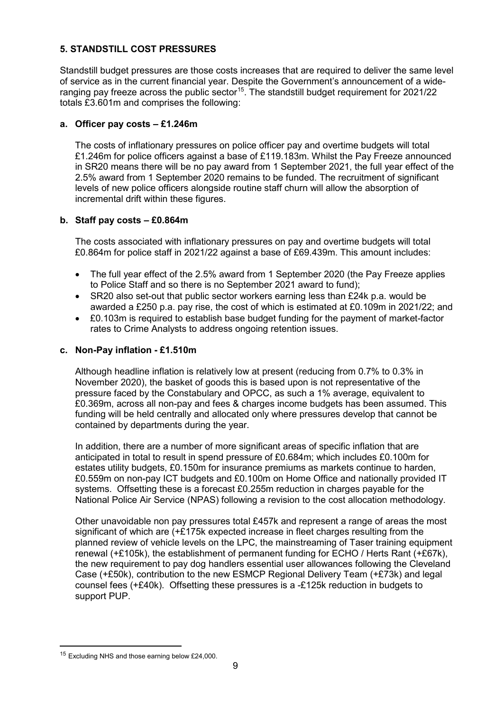# **5. STANDSTILL COST PRESSURES**

Standstill budget pressures are those costs increases that are required to deliver the same level of service as in the current financial year. Despite the Government's announcement of a wideranging pay freeze across the public sector<sup>15</sup>. The standstill budget requirement for  $2021/22$ totals £3.601m and comprises the following:

## **a. Officer pay costs – £1.246m**

The costs of inflationary pressures on police officer pay and overtime budgets will total £1.246m for police officers against a base of £119.183m. Whilst the Pay Freeze announced in SR20 means there will be no pay award from 1 September 2021, the full year effect of the 2.5% award from 1 September 2020 remains to be funded. The recruitment of significant levels of new police officers alongside routine staff churn will allow the absorption of incremental drift within these figures.

## **b. Staff pay costs – £0.864m**

The costs associated with inflationary pressures on pay and overtime budgets will total £0.864m for police staff in 2021/22 against a base of £69.439m. This amount includes:

- The full year effect of the 2.5% award from 1 September 2020 (the Pay Freeze applies to Police Staff and so there is no September 2021 award to fund);
- SR20 also set-out that public sector workers earning less than £24k p.a. would be awarded a £250 p.a. pay rise, the cost of which is estimated at £0.109m in 2021/22; and
- £0.103m is required to establish base budget funding for the payment of market-factor rates to Crime Analysts to address ongoing retention issues.

## **c. Non-Pay inflation - £1.510m**

Although headline inflation is relatively low at present (reducing from 0.7% to 0.3% in November 2020), the basket of goods this is based upon is not representative of the pressure faced by the Constabulary and OPCC, as such a 1% average, equivalent to £0.369m, across all non-pay and fees & charges income budgets has been assumed. This funding will be held centrally and allocated only where pressures develop that cannot be contained by departments during the year.

In addition, there are a number of more significant areas of specific inflation that are anticipated in total to result in spend pressure of £0.684m; which includes £0.100m for estates utility budgets, £0.150m for insurance premiums as markets continue to harden, £0.559m on non-pay ICT budgets and £0.100m on Home Office and nationally provided IT systems. Offsetting these is a forecast £0.255m reduction in charges payable for the National Police Air Service (NPAS) following a revision to the cost allocation methodology.

Other unavoidable non pay pressures total £457k and represent a range of areas the most significant of which are (+£175k expected increase in fleet charges resulting from the planned review of vehicle levels on the LPC, the mainstreaming of Taser training equipment renewal (+£105k), the establishment of permanent funding for ECHO / Herts Rant (+£67k), the new requirement to pay dog handlers essential user allowances following the Cleveland Case (+£50k), contribution to the new ESMCP Regional Delivery Team (+£73k) and legal counsel fees (+£40k). Offsetting these pressures is a -£125k reduction in budgets to support PUP.

<span id="page-8-0"></span><sup>&</sup>lt;u>.</u> <sup>15</sup> Excluding NHS and those earning below £24,000.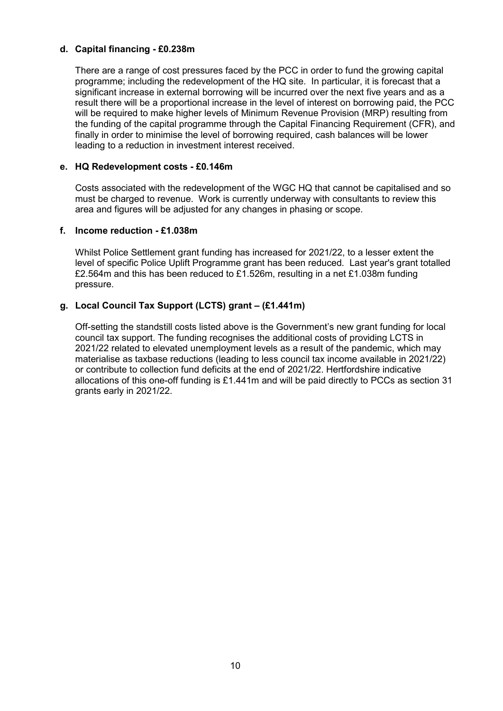### **d. Capital financing - £0.238m**

There are a range of cost pressures faced by the PCC in order to fund the growing capital programme; including the redevelopment of the HQ site. In particular, it is forecast that a significant increase in external borrowing will be incurred over the next five years and as a result there will be a proportional increase in the level of interest on borrowing paid, the PCC will be required to make higher levels of Minimum Revenue Provision (MRP) resulting from the funding of the capital programme through the Capital Financing Requirement (CFR), and finally in order to minimise the level of borrowing required, cash balances will be lower leading to a reduction in investment interest received.

#### **e. HQ Redevelopment costs - £0.146m**

Costs associated with the redevelopment of the WGC HQ that cannot be capitalised and so must be charged to revenue. Work is currently underway with consultants to review this area and figures will be adjusted for any changes in phasing or scope.

#### **f. Income reduction - £1.038m**

Whilst Police Settlement grant funding has increased for 2021/22, to a lesser extent the level of specific Police Uplift Programme grant has been reduced. Last year's grant totalled £2.564m and this has been reduced to £1.526m, resulting in a net £1.038m funding pressure.

#### **g. Local Council Tax Support (LCTS) grant – (£1.441m)**

Off-setting the standstill costs listed above is the Government's new grant funding for local council tax support. The funding recognises the additional costs of providing LCTS in 2021/22 related to elevated unemployment levels as a result of the pandemic, which may materialise as taxbase reductions (leading to less council tax income available in 2021/22) or contribute to collection fund deficits at the end of 2021/22. Hertfordshire indicative allocations of this one-off funding is £1.441m and will be paid directly to PCCs as section 31 grants early in 2021/22.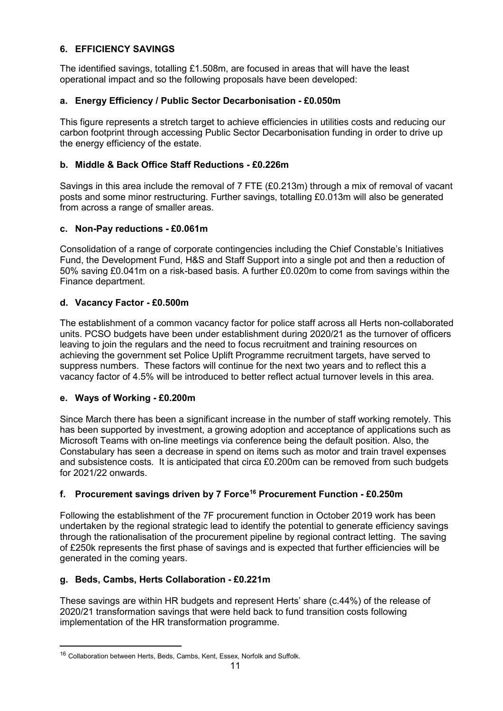## **6. EFFICIENCY SAVINGS**

The identified savings, totalling £1.508m, are focused in areas that will have the least operational impact and so the following proposals have been developed:

## **a. Energy Efficiency / Public Sector Decarbonisation - £0.050m**

This figure represents a stretch target to achieve efficiencies in utilities costs and reducing our carbon footprint through accessing Public Sector Decarbonisation funding in order to drive up the energy efficiency of the estate.

### **b. Middle & Back Office Staff Reductions - £0.226m**

Savings in this area include the removal of 7 FTE (£0.213m) through a mix of removal of vacant posts and some minor restructuring. Further savings, totalling £0.013m will also be generated from across a range of smaller areas.

## **c. Non-Pay reductions - £0.061m**

Consolidation of a range of corporate contingencies including the Chief Constable's Initiatives Fund, the Development Fund, H&S and Staff Support into a single pot and then a reduction of 50% saving £0.041m on a risk-based basis. A further £0.020m to come from savings within the Finance department.

## **d. Vacancy Factor - £0.500m**

The establishment of a common vacancy factor for police staff across all Herts non-collaborated units. PCSO budgets have been under establishment during 2020/21 as the turnover of officers leaving to join the regulars and the need to focus recruitment and training resources on achieving the government set Police Uplift Programme recruitment targets, have served to suppress numbers. These factors will continue for the next two years and to reflect this a vacancy factor of 4.5% will be introduced to better reflect actual turnover levels in this area.

#### **e. Ways of Working - £0.200m**

<u>.</u>

Since March there has been a significant increase in the number of staff working remotely. This has been supported by investment, a growing adoption and acceptance of applications such as Microsoft Teams with on-line meetings via conference being the default position. Also, the Constabulary has seen a decrease in spend on items such as motor and train travel expenses and subsistence costs. It is anticipated that circa £0.200m can be removed from such budgets for 2021/22 onwards.

# **f. Procurement savings driven by 7 Forc[e16](#page-10-0) Procurement Function - £0.250m**

Following the establishment of the 7F procurement function in October 2019 work has been undertaken by the regional strategic lead to identify the potential to generate efficiency savings through the rationalisation of the procurement pipeline by regional contract letting. The saving of £250k represents the first phase of savings and is expected that further efficiencies will be generated in the coming years.

# **g. Beds, Cambs, Herts Collaboration - £0.221m**

These savings are within HR budgets and represent Herts' share (c.44%) of the release of 2020/21 transformation savings that were held back to fund transition costs following implementation of the HR transformation programme.

<span id="page-10-0"></span><sup>&</sup>lt;sup>16</sup> Collaboration between Herts, Beds, Cambs, Kent, Essex, Norfolk and Suffolk.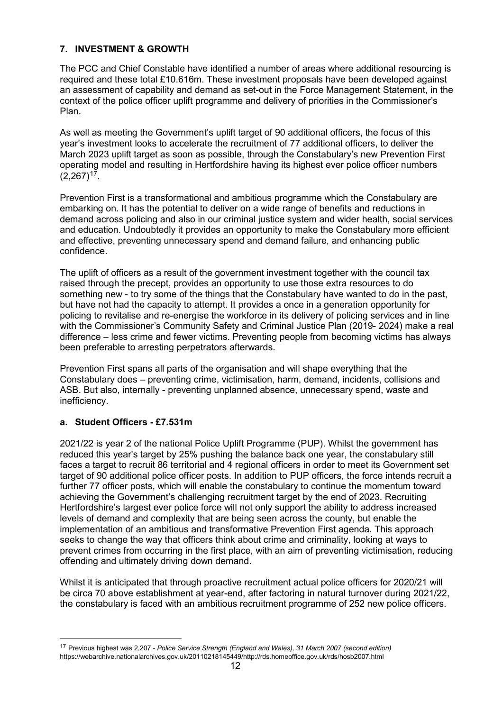# **7. INVESTMENT & GROWTH**

The PCC and Chief Constable have identified a number of areas where additional resourcing is required and these total £10.616m. These investment proposals have been developed against an assessment of capability and demand as set-out in the Force Management Statement, in the context of the police officer uplift programme and delivery of priorities in the Commissioner's Plan.

As well as meeting the Government's uplift target of 90 additional officers, the focus of this year's investment looks to accelerate the recruitment of 77 additional officers, to deliver the March 2023 uplift target as soon as possible, through the Constabulary's new Prevention First operating model and resulting in Hertfordshire having its highest ever police officer numbers  $(2,267)^{17}$  $(2,267)^{17}$  $(2,267)^{17}$ .

Prevention First is a transformational and ambitious programme which the Constabulary are embarking on. It has the potential to deliver on a wide range of benefits and reductions in demand across policing and also in our criminal justice system and wider health, social services and education. Undoubtedly it provides an opportunity to make the Constabulary more efficient and effective, preventing unnecessary spend and demand failure, and enhancing public confidence.

The uplift of officers as a result of the government investment together with the council tax raised through the precept, provides an opportunity to use those extra resources to do something new - to try some of the things that the Constabulary have wanted to do in the past, but have not had the capacity to attempt. It provides a once in a generation opportunity for policing to revitalise and re-energise the workforce in its delivery of policing services and in line with the Commissioner's Community Safety and Criminal Justice Plan (2019- 2024) make a real difference – less crime and fewer victims. Preventing people from becoming victims has always been preferable to arresting perpetrators afterwards.

Prevention First spans all parts of the organisation and will shape everything that the Constabulary does – preventing crime, victimisation, harm, demand, incidents, collisions and ASB. But also, internally - preventing unplanned absence, unnecessary spend, waste and inefficiency.

# **a. Student Officers - £7.531m**

-

2021/22 is year 2 of the national Police Uplift Programme (PUP). Whilst the government has reduced this year's target by 25% pushing the balance back one year, the constabulary still faces a target to recruit 86 territorial and 4 regional officers in order to meet its Government set target of 90 additional police officer posts. In addition to PUP officers, the force intends recruit a further 77 officer posts, which will enable the constabulary to continue the momentum toward achieving the Government's challenging recruitment target by the end of 2023. Recruiting Hertfordshire's largest ever police force will not only support the ability to address increased levels of demand and complexity that are being seen across the county, but enable the implementation of an ambitious and transformative Prevention First agenda. This approach seeks to change the way that officers think about crime and criminality, looking at ways to prevent crimes from occurring in the first place, with an aim of preventing victimisation, reducing offending and ultimately driving down demand.

Whilst it is anticipated that through proactive recruitment actual police officers for 2020/21 will be circa 70 above establishment at year-end, after factoring in natural turnover during 2021/22, the constabulary is faced with an ambitious recruitment programme of 252 new police officers.

<span id="page-11-0"></span><sup>17</sup> Previous highest was 2,207 - *Police Service Strength (England and Wales), 31 March 2007 (second edition)* https://webarchive.nationalarchives.gov.uk/20110218145449/http://rds.homeoffice.gov.uk/rds/hosb2007.html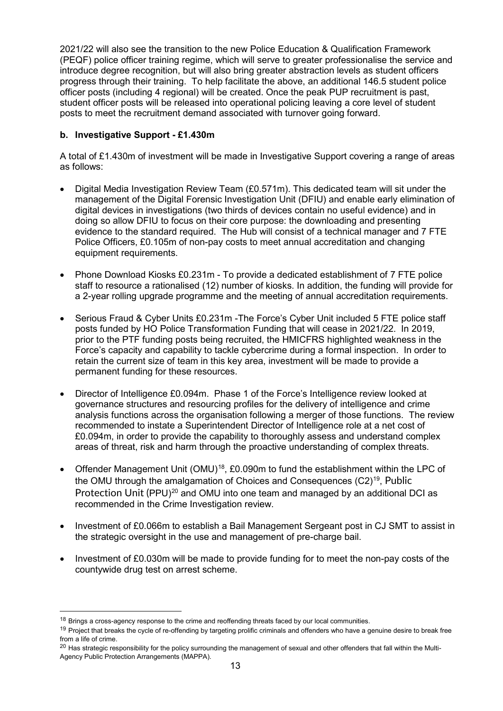2021/22 will also see the transition to the new Police Education & Qualification Framework (PEQF) police officer training regime, which will serve to greater professionalise the service and introduce degree recognition, but will also bring greater abstraction levels as student officers progress through their training. To help facilitate the above, an additional 146.5 student police officer posts (including 4 regional) will be created. Once the peak PUP recruitment is past, student officer posts will be released into operational policing leaving a core level of student posts to meet the recruitment demand associated with turnover going forward.

## **b. Investigative Support - £1.430m**

A total of £1.430m of investment will be made in Investigative Support covering a range of areas as follows:

- Digital Media Investigation Review Team (£0.571m). This dedicated team will sit under the management of the Digital Forensic Investigation Unit (DFIU) and enable early elimination of digital devices in investigations (two thirds of devices contain no useful evidence) and in doing so allow DFIU to focus on their core purpose: the downloading and presenting evidence to the standard required. The Hub will consist of a technical manager and 7 FTE Police Officers, £0.105m of non-pay costs to meet annual accreditation and changing equipment requirements.
- Phone Download Kiosks £0.231m To provide a dedicated establishment of 7 FTE police staff to resource a rationalised (12) number of kiosks. In addition, the funding will provide for a 2-year rolling upgrade programme and the meeting of annual accreditation requirements.
- Serious Fraud & Cyber Units £0.231m The Force's Cyber Unit included 5 FTE police staff posts funded by HO Police Transformation Funding that will cease in 2021/22. In 2019, prior to the PTF funding posts being recruited, the HMICFRS highlighted weakness in the Force's capacity and capability to tackle cybercrime during a formal inspection. In order to retain the current size of team in this key area, investment will be made to provide a permanent funding for these resources.
- Director of Intelligence £0.094m. Phase 1 of the Force's Intelligence review looked at governance structures and resourcing profiles for the delivery of intelligence and crime analysis functions across the organisation following a merger of those functions. The review recommended to instate a Superintendent Director of Intelligence role at a net cost of £0.094m, in order to provide the capability to thoroughly assess and understand complex areas of threat, risk and harm through the proactive understanding of complex threats.
- Offender Management Unit (OMU)<sup>18</sup>, £0.090m to fund the establishment within the LPC of the OMU through the amalgamation of Choices and Consequences (C2)[19](#page-12-1), Public Protection Unit (PPU)<sup>[20](#page-12-2)</sup> and OMU into one team and managed by an additional DCI as recommended in the Crime Investigation review.
- Investment of £0.066m to establish a Bail Management Sergeant post in CJ SMT to assist in the strategic oversight in the use and management of pre-charge bail.
- Investment of £0.030m will be made to provide funding for to meet the non-pay costs of the countywide drug test on arrest scheme.

<span id="page-12-0"></span><sup>&</sup>lt;sup>18</sup> Brings a cross-agency response to the crime and reoffending threats faced by our local communities.

<span id="page-12-1"></span><sup>&</sup>lt;sup>19</sup> Project that breaks the cycle of re-offending by targeting prolific criminals and offenders who have a genuine desire to break free from a life of crime.

<span id="page-12-2"></span><sup>&</sup>lt;sup>20</sup> Has strategic responsibility for the policy surrounding the management of sexual and other offenders that fall within th[e Multi-](https://intranet.bch.police.uk/hertfordshire/Departments/Operational-support/Safeguarding-Command/Public-Protection-Unit/Multi-Agency-Public-Protection-Arrangements.aspx)[Agency Public Protection Arrangements](https://intranet.bch.police.uk/hertfordshire/Departments/Operational-support/Safeguarding-Command/Public-Protection-Unit/Multi-Agency-Public-Protection-Arrangements.aspx) (MAPPA).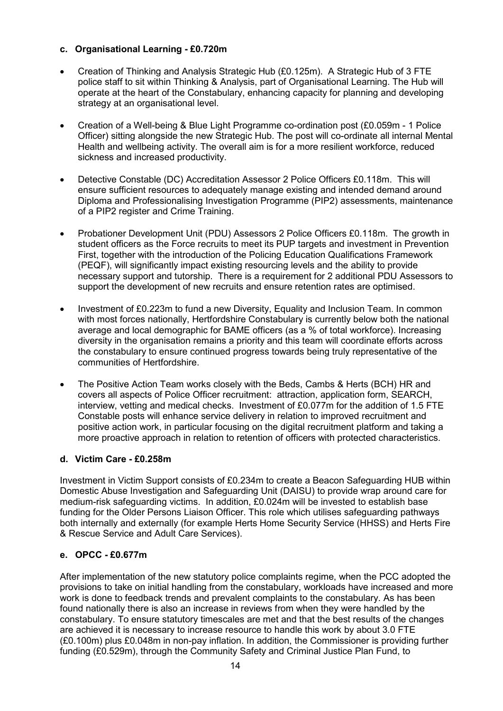## **c. Organisational Learning - £0.720m**

- Creation of Thinking and Analysis Strategic Hub (£0.125m). A Strategic Hub of 3 FTE police staff to sit within Thinking & Analysis, part of Organisational Learning. The Hub will operate at the heart of the Constabulary, enhancing capacity for planning and developing strategy at an organisational level.
- Creation of a Well-being & Blue Light Programme co-ordination post (£0.059m 1 Police Officer) sitting alongside the new Strategic Hub. The post will co-ordinate all internal Mental Health and wellbeing activity. The overall aim is for a more resilient workforce, reduced sickness and increased productivity.
- Detective Constable (DC) Accreditation Assessor 2 Police Officers £0.118m. This will ensure sufficient resources to adequately manage existing and intended demand around Diploma and Professionalising Investigation Programme (PIP2) assessments, maintenance of a PIP2 register and Crime Training.
- Probationer Development Unit (PDU) Assessors 2 Police Officers £0.118m. The growth in student officers as the Force recruits to meet its PUP targets and investment in Prevention First, together with the introduction of the Policing Education Qualifications Framework (PEQF), will significantly impact existing resourcing levels and the ability to provide necessary support and tutorship. There is a requirement for 2 additional PDU Assessors to support the development of new recruits and ensure retention rates are optimised.
- Investment of £0.223m to fund a new Diversity, Equality and Inclusion Team. In common with most forces nationally, Hertfordshire Constabulary is currently below both the national average and local demographic for BAME officers (as a % of total workforce). Increasing diversity in the organisation remains a priority and this team will coordinate efforts across the constabulary to ensure continued progress towards being truly representative of the communities of Hertfordshire.
- The Positive Action Team works closely with the Beds, Cambs & Herts (BCH) HR and covers all aspects of Police Officer recruitment: attraction, application form, SEARCH, interview, vetting and medical checks. Investment of £0.077m for the addition of 1.5 FTE Constable posts will enhance service delivery in relation to improved recruitment and positive action work, in particular focusing on the digital recruitment platform and taking a more proactive approach in relation to retention of officers with protected characteristics.

# **d. Victim Care - £0.258m**

Investment in Victim Support consists of £0.234m to create a Beacon Safeguarding HUB within Domestic Abuse Investigation and Safeguarding Unit (DAISU) to provide wrap around care for medium-risk safeguarding victims. In addition, £0.024m will be invested to establish base funding for the Older Persons Liaison Officer. This role which utilises safeguarding pathways both internally and externally (for example Herts Home Security Service (HHSS) and Herts Fire & Rescue Service and Adult Care Services).

#### **e. OPCC - £0.677m**

After implementation of the new statutory police complaints regime, when the PCC adopted the provisions to take on initial handling from the constabulary, workloads have increased and more work is done to feedback trends and prevalent complaints to the constabulary. As has been found nationally there is also an increase in reviews from when they were handled by the constabulary. To ensure statutory timescales are met and that the best results of the changes are achieved it is necessary to increase resource to handle this work by about 3.0 FTE (£0.100m) plus £0.048m in non-pay inflation. In addition, the Commissioner is providing further funding (£0.529m), through the Community Safety and Criminal Justice Plan Fund, to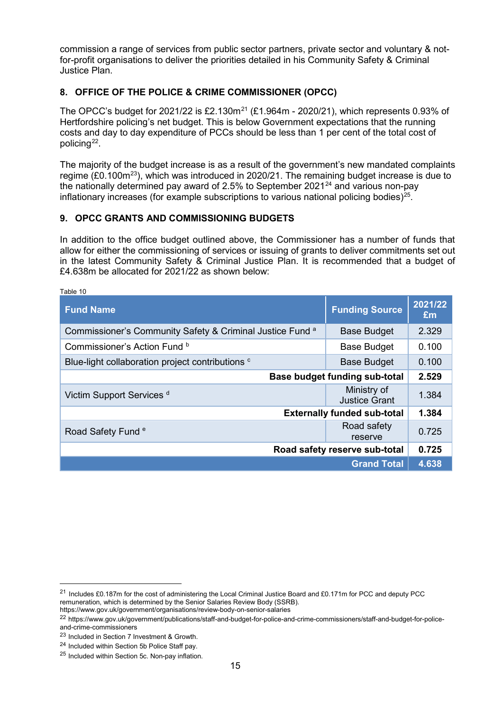commission a range of services from public sector partners, private sector and voluntary & notfor-profit organisations to deliver the priorities detailed in his Community Safety & Criminal Justice Plan.

# **8. OFFICE OF THE POLICE & CRIME COMMISSIONER (OPCC)**

The OPCC's budget for 20[21](#page-14-0)/22 is £2.130 $m^{21}$  (£1.964m - 2020/21), which represents 0.93% of Hertfordshire policing's net budget. This is below Government expectations that the running costs and day to day expenditure of PCCs should be less than 1 per cent of the total cost of policing<sup>[22](#page-14-1)</sup>.

The majority of the budget increase is as a result of the government's new mandated complaints regime (£0.100 $m^{23}$  $m^{23}$  $m^{23}$ ), which was introduced in 2020/21. The remaining budget increase is due to the nationally determined pay award of 2.5% to September 2021<sup>[24](#page-14-3)</sup> and various non-pay inflationary increases (for example subscriptions to various national policing bodies) $^{25}$ .

## **9. OPCC GRANTS AND COMMISSIONING BUDGETS**

In addition to the office budget outlined above, the Commissioner has a number of funds that allow for either the commissioning of services or issuing of grants to deliver commitments set out in the latest Community Safety & Criminal Justice Plan. It is recommended that a budget of £4.638m be allocated for 2021/22 as shown below:

| Table 10                                                                          |                                     |               |
|-----------------------------------------------------------------------------------|-------------------------------------|---------------|
| <b>Fund Name</b>                                                                  | <b>Funding Source</b>               | 2021/22<br>£m |
| Commissioner's Community Safety & Criminal Justice Fund a                         | <b>Base Budget</b>                  | 2.329         |
| Commissioner's Action Fund b                                                      | <b>Base Budget</b>                  | 0.100         |
| Blue-light collaboration project contributions <sup>c</sup><br><b>Base Budget</b> |                                     | 0.100         |
| <b>Base budget funding sub-total</b>                                              |                                     |               |
| Victim Support Services d                                                         | Ministry of<br><b>Justice Grant</b> | 1.384         |
|                                                                                   | <b>Externally funded sub-total</b>  | 1.384         |
| Road Safety Fund <sup>e</sup>                                                     | Road safety<br>reserve              | 0.725         |
| Road safety reserve sub-total                                                     |                                     |               |
|                                                                                   | <b>Grand Total</b>                  | 4.638         |

<span id="page-14-0"></span><sup>-</sup><sup>21</sup> Includes £0.187m for the cost of administering the Local Criminal Justice Board and £0.171m for PCC and deputy PCC remuneration, which is determined by the Senior Salaries Review Body (SSRB).

<span id="page-14-1"></span>https://www.gov.uk/government/organisations/review-body-on-senior-salaries

<sup>22</sup> https://www.gov.uk/government/publications/staff-and-budget-for-police-and-crime-commissioners/staff-and-budget-for-policeand-crime-commissioners

<span id="page-14-2"></span><sup>23</sup> Included in Section 7 Investment & Growth.

<span id="page-14-3"></span><sup>24</sup> Included within Section 5b Police Staff pay.

<span id="page-14-4"></span><sup>25</sup> Included within Section 5c. Non-pay inflation.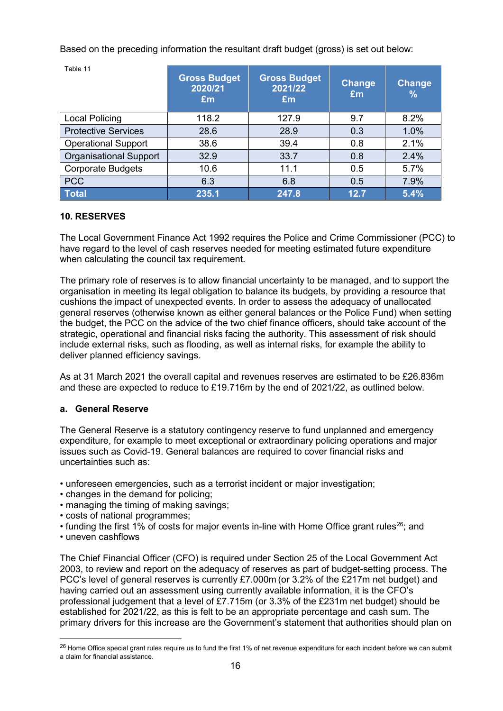Based on the preceding information the resultant draft budget (gross) is set out below:

| Table 11                      | <b>Gross Budget</b><br>2020/21<br>Em | <b>Gross Budget</b><br>2021/22<br>Em | Change<br>£m | <b>Change</b><br>$\frac{9}{6}$ |
|-------------------------------|--------------------------------------|--------------------------------------|--------------|--------------------------------|
| <b>Local Policing</b>         | 118.2                                | 127.9                                | 9.7          | 8.2%                           |
| <b>Protective Services</b>    | 28.6                                 | 28.9                                 | 0.3          | 1.0%                           |
| <b>Operational Support</b>    | 38.6                                 | 39.4                                 | 0.8          | 2.1%                           |
| <b>Organisational Support</b> | 32.9                                 | 33.7                                 | 0.8          | 2.4%                           |
| <b>Corporate Budgets</b>      | 10.6                                 | 11.1                                 | 0.5          | 5.7%                           |
| <b>PCC</b>                    | 6.3                                  | 6.8                                  | 0.5          | 7.9%                           |
| <b>Total</b>                  | 235.1                                | 247.8                                | 12.7         | 5.4%                           |

# **10. RESERVES**

The Local Government Finance Act 1992 requires the Police and Crime Commissioner (PCC) to have regard to the level of cash reserves needed for meeting estimated future expenditure when calculating the council tax requirement.

The primary role of reserves is to allow financial uncertainty to be managed, and to support the organisation in meeting its legal obligation to balance its budgets, by providing a resource that cushions the impact of unexpected events. In order to assess the adequacy of unallocated general reserves (otherwise known as either general balances or the Police Fund) when setting the budget, the PCC on the advice of the two chief finance officers, should take account of the strategic, operational and financial risks facing the authority. This assessment of risk should include external risks, such as flooding, as well as internal risks, for example the ability to deliver planned efficiency savings.

As at 31 March 2021 the overall capital and revenues reserves are estimated to be £26.836m and these are expected to reduce to £19.716m by the end of 2021/22, as outlined below.

# **a. General Reserve**

The General Reserve is a statutory contingency reserve to fund unplanned and emergency expenditure, for example to meet exceptional or extraordinary policing operations and major issues such as Covid-19. General balances are required to cover financial risks and uncertainties such as:

- unforeseen emergencies, such as a terrorist incident or major investigation;
- changes in the demand for policing;
- managing the timing of making savings;
- costs of national programmes;
- funding the first 1% of costs for major events in-line with Home Office grant rules<sup>[26](#page-15-0)</sup>; and
- uneven cashflows

-

The Chief Financial Officer (CFO) is required under Section 25 of the Local Government Act 2003, to review and report on the adequacy of reserves as part of budget-setting process. The PCC's level of general reserves is currently £7.000m (or 3.2% of the £217m net budget) and having carried out an assessment using currently available information, it is the CFO's professional judgement that a level of £7.715m (or 3.3% of the £231m net budget) should be established for 2021/22, as this is felt to be an appropriate percentage and cash sum. The primary drivers for this increase are the Government's statement that authorities should plan on

<span id="page-15-0"></span> $26$  Home Office special grant rules require us to fund the first 1% of net revenue expenditure for each incident before we can submit a claim for financial assistance.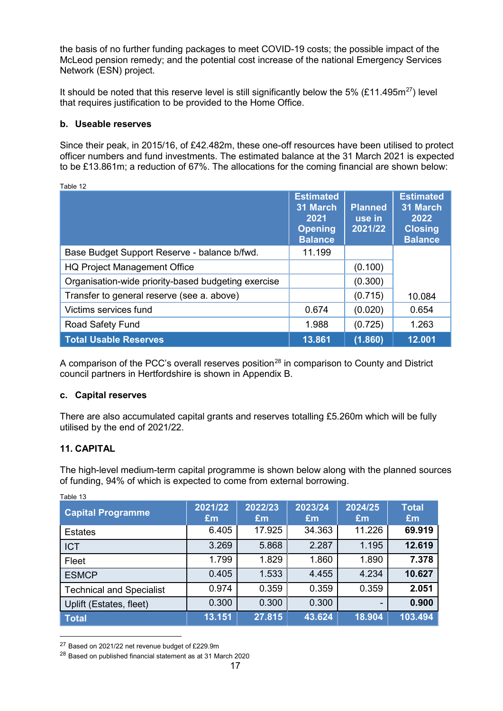the basis of no further funding packages to meet COVID-19 costs; the possible impact of the McLeod pension remedy; and the potential cost increase of the national Emergency Services Network (ESN) project.

It should be noted that this reserve level is still significantly below the 5% (£11.495 $m^{27}$  $m^{27}$  $m^{27}$ ) level that requires justification to be provided to the Home Office.

#### **b. Useable reserves**

 $T \cdot 122$ 

Since their peak, in 2015/16, of £42.482m, these one-off resources have been utilised to protect officer numbers and fund investments. The estimated balance at the 31 March 2021 is expected to be £13.861m; a reduction of 67%. The allocations for the coming financial are shown below:

| rable iz                                            | <b>Estimated</b><br>31 March<br>2021<br><b>Opening</b><br><b>Balance</b> | <b>Planned</b><br>use in<br>2021/22 | <b>Estimated</b><br>31 March<br>2022<br><b>Closing</b><br><b>Balance</b> |
|-----------------------------------------------------|--------------------------------------------------------------------------|-------------------------------------|--------------------------------------------------------------------------|
| Base Budget Support Reserve - balance b/fwd.        | 11.199                                                                   |                                     |                                                                          |
| <b>HQ Project Management Office</b>                 |                                                                          | (0.100)                             |                                                                          |
| Organisation-wide priority-based budgeting exercise |                                                                          | (0.300)                             |                                                                          |
| Transfer to general reserve (see a. above)          |                                                                          | (0.715)                             | 10.084                                                                   |
| Victims services fund                               | 0.674                                                                    | (0.020)                             | 0.654                                                                    |
| <b>Road Safety Fund</b>                             | 1.988                                                                    | (0.725)                             | 1.263                                                                    |
| <b>Total Usable Reserves</b>                        | 13.861                                                                   | (1.860)                             | 12.001                                                                   |

A comparison of the PCC's overall reserves position<sup>[28](#page-16-1)</sup> in comparison to County and District council partners in Hertfordshire is shown in Appendix B.

#### **c. Capital reserves**

There are also accumulated capital grants and reserves totalling £5.260m which will be fully utilised by the end of 2021/22.

#### **11. CAPITAL**

-

The high-level medium-term capital programme is shown below along with the planned sources of funding, 94% of which is expected to come from external borrowing.

| Table 13                        |               |               |               |               |                    |  |  |
|---------------------------------|---------------|---------------|---------------|---------------|--------------------|--|--|
| <b>Capital Programme</b>        | 2021/22<br>£m | 2022/23<br>Em | 2023/24<br>£m | 2024/25<br>Em | <b>Total</b><br>£m |  |  |
| <b>Estates</b>                  | 6.405         | 17.925        | 34.363        | 11.226        | 69.919             |  |  |
| <b>ICT</b>                      | 3.269         | 5.868         | 2.287         | 1.195         | 12.619             |  |  |
| Fleet                           | 1.799         | 1.829         | 1.860         | 1.890         | 7.378              |  |  |
| <b>ESMCP</b>                    | 0.405         | 1.533         | 4.455         | 4.234         | 10.627             |  |  |
| <b>Technical and Specialist</b> | 0.974         | 0.359         | 0.359         | 0.359         | 2.051              |  |  |
| Uplift (Estates, fleet)         | 0.300         | 0.300         | 0.300         | -             | 0.900              |  |  |
| <b>Total</b>                    | 13.151        | 27.815        | 43.624        | 18.904        | 103.494            |  |  |

<span id="page-16-0"></span><sup>27</sup> Based on 2021/22 net revenue budget of £229.9m

<span id="page-16-1"></span><sup>28</sup> Based on published financial statement as at 31 March 2020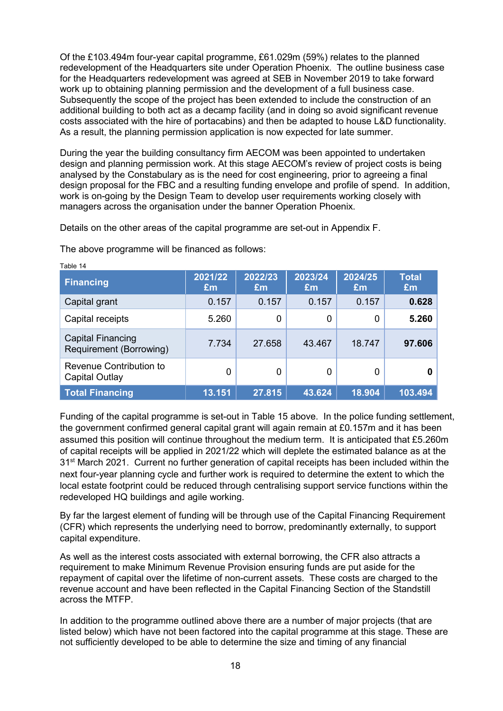Of the £103.494m four-year capital programme, £61.029m (59%) relates to the planned redevelopment of the Headquarters site under Operation Phoenix. The outline business case for the Headquarters redevelopment was agreed at SEB in November 2019 to take forward work up to obtaining planning permission and the development of a full business case. Subsequently the scope of the project has been extended to include the construction of an additional building to both act as a decamp facility (and in doing so avoid significant revenue costs associated with the hire of portacabins) and then be adapted to house L&D functionality. As a result, the planning permission application is now expected for late summer.

During the year the building consultancy firm AECOM was been appointed to undertaken design and planning permission work. At this stage AECOM's review of project costs is being analysed by the Constabulary as is the need for cost engineering, prior to agreeing a final design proposal for the FBC and a resulting funding envelope and profile of spend. In addition, work is on-going by the Design Team to develop user requirements working closely with managers across the organisation under the banner Operation Phoenix.

Details on the other areas of the capital programme are set-out in Appendix F.

The above programme will be financed as follows:

| <b>Financing</b>                                    | 2021/22<br>Em | 2022/23<br>Em | 2023/24<br>£m | 2024/25<br>Em | <b>Total</b><br>Em |
|-----------------------------------------------------|---------------|---------------|---------------|---------------|--------------------|
| Capital grant                                       | 0.157         | 0.157         | 0.157         | 0.157         | 0.628              |
| Capital receipts                                    | 5.260         | 0             | 0             | 0             | 5.260              |
| <b>Capital Financing</b><br>Requirement (Borrowing) | 7.734         | 27.658        | 43.467        | 18.747        | 97.606             |
| Revenue Contribution to<br>Capital Outlay           | 0             | 0             | 0             | 0             | 0                  |
| <b>Total Financing</b>                              | 13.151        | 27.815        | 43.624        | 18.904        | 103.494            |

Table 14

Funding of the capital programme is set-out in Table 15 above. In the police funding settlement, the government confirmed general capital grant will again remain at £0.157m and it has been assumed this position will continue throughout the medium term. It is anticipated that £5.260m of capital receipts will be applied in 2021/22 which will deplete the estimated balance as at the 31<sup>st</sup> March 2021. Current no further generation of capital receipts has been included within the next four-year planning cycle and further work is required to determine the extent to which the local estate footprint could be reduced through centralising support service functions within the redeveloped HQ buildings and agile working.

By far the largest element of funding will be through use of the Capital Financing Requirement (CFR) which represents the underlying need to borrow, predominantly externally, to support capital expenditure.

As well as the interest costs associated with external borrowing, the CFR also attracts a requirement to make Minimum Revenue Provision ensuring funds are put aside for the repayment of capital over the lifetime of non-current assets. These costs are charged to the revenue account and have been reflected in the Capital Financing Section of the Standstill across the MTFP.

In addition to the programme outlined above there are a number of major projects (that are listed below) which have not been factored into the capital programme at this stage. These are not sufficiently developed to be able to determine the size and timing of any financial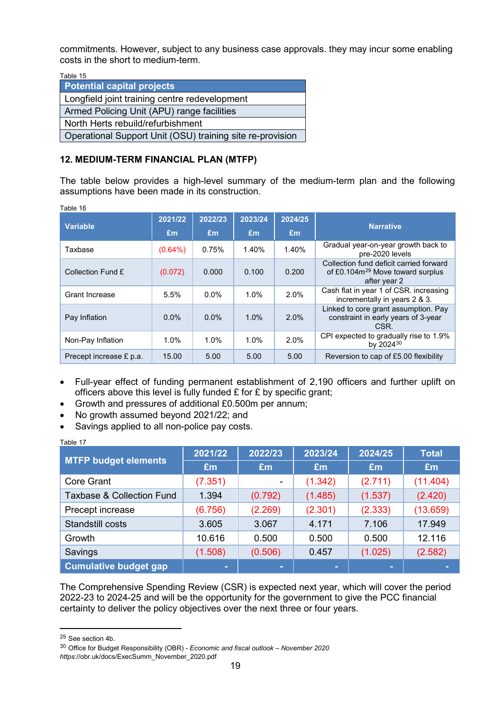commitments. However, subject to any business case approvals. they may incur some enabling costs in the short to medium-term.

| Table 15                                                  |
|-----------------------------------------------------------|
| <b>Potential capital projects</b>                         |
| Longfield joint training centre redevelopment             |
| Armed Policing Unit (APU) range facilities                |
| North Herts rebuild/refurbishment                         |
| Operational Support Unit (OSU) training site re-provision |

## **12. MEDIUM-TERM FINANCIAL PLAN (MTFP)**

The table below provides a high-level summary of the medium-term plan and the following assumptions have been made in its construction.

| Table 16                |            |         |         |         |                                                                                                         |  |  |
|-------------------------|------------|---------|---------|---------|---------------------------------------------------------------------------------------------------------|--|--|
| <b>Variable</b>         | 2021/22    | 2022/23 | 2023/24 | 2024/25 | <b>Narrative</b>                                                                                        |  |  |
|                         | Em         | Em      | Em      | Em      |                                                                                                         |  |  |
| Taxbase                 | $(0.64\%)$ | 0.75%   | 1.40%   | 1.40%   | Gradual year-on-year growth back to<br>pre-2020 levels                                                  |  |  |
| Collection Fund £       | (0.072)    | 0.000   | 0.100   | 0.200   | Collection fund deficit carried forward<br>of £0.104m <sup>29</sup> Move toward surplus<br>after year 2 |  |  |
| <b>Grant Increase</b>   | 5.5%       | $0.0\%$ | 1.0%    | 2.0%    | Cash flat in year 1 of CSR. increasing<br>incrementally in years 2 & 3.                                 |  |  |
| Pay Inflation           | $0.0\%$    | $0.0\%$ | 1.0%    | 2.0%    | Linked to core grant assumption. Pay<br>constraint in early years of 3-year<br>CSR.                     |  |  |
| Non-Pay Inflation       | 1.0%       | $1.0\%$ | 1.0%    | 2.0%    | CPI expected to gradually rise to 1.9%<br>by 2024 <sup>30</sup>                                         |  |  |
| Precept increase £ p.a. | 15.00      | 5.00    | 5.00    | 5.00    | Reversion to cap of £5.00 flexibility                                                                   |  |  |

• Full-year effect of funding permanent establishment of 2,190 officers and further uplift on officers above this level is fully funded £ for £ by specific grant;

- Growth and pressures of additional £0.500m per annum;
- No growth assumed beyond 2021/22; and
- Savings applied to all non-police pay costs.

| <b>MTFP budget elements</b>          | 2021/22 | 2022/23        | 2023/24 | 2024/25 | <b>Total</b> |
|--------------------------------------|---------|----------------|---------|---------|--------------|
|                                      | £m      | £m             | £m      | £m      | £m           |
| <b>Core Grant</b>                    | (7.351) | $\blacksquare$ | (1.342) | (2.711) | (11.404)     |
| <b>Taxbase &amp; Collection Fund</b> | 1.394   | (0.792)        | (1.485) | (1.537) | (2.420)      |
| Precept increase                     | (6.756) | (2.269)        | (2.301) | (2.333) | (13.659)     |
| Standstill costs                     | 3.605   | 3.067          | 4.171   | 7.106   | 17.949       |
| Growth                               | 10.616  | 0.500          | 0.500   | 0.500   | 12.116       |
| Savings                              | (1.508) | (0.506)        | 0.457   | (1.025) | (2.582)      |
| <b>Cumulative budget gap</b>         |         | ٠              |         |         | -            |

The Comprehensive Spending Review (CSR) is expected next year, which will cover the period 2022-23 to 2024-25 and will be the opportunity for the government to give the PCC financial certainty to deliver the policy objectives over the next three or four years.

<span id="page-18-0"></span><sup>29</sup> See section 4b.

<u>.</u>

Table 17

<span id="page-18-1"></span><sup>30</sup> Office for Budget Responsibility (OBR) - *Economic and fiscal outlook – November 2020 https*://obr.uk/docs/ExecSumm\_November\_2020.pdf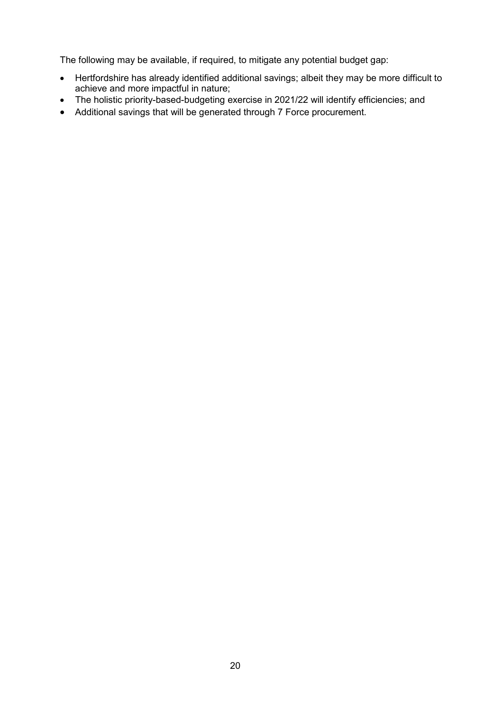The following may be available, if required, to mitigate any potential budget gap:

- Hertfordshire has already identified additional savings; albeit they may be more difficult to achieve and more impactful in nature;
- The holistic priority-based-budgeting exercise in 2021/22 will identify efficiencies; and
- Additional savings that will be generated through 7 Force procurement.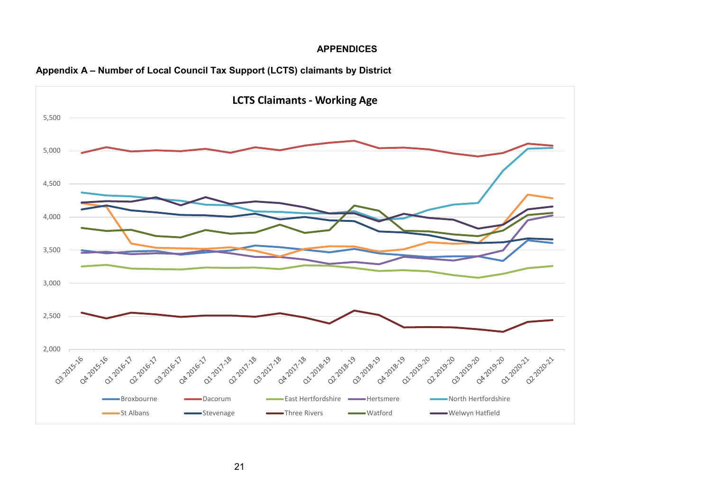#### **APPENDICES**



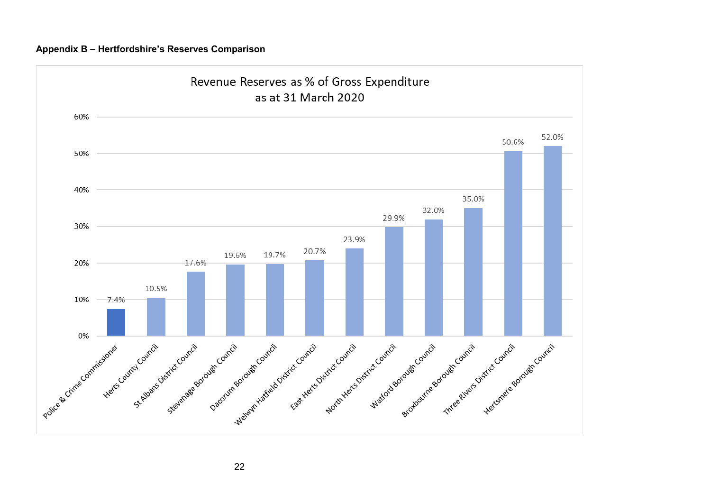#### **Appendix B – Hertfordshire's Reserves Comparison**



22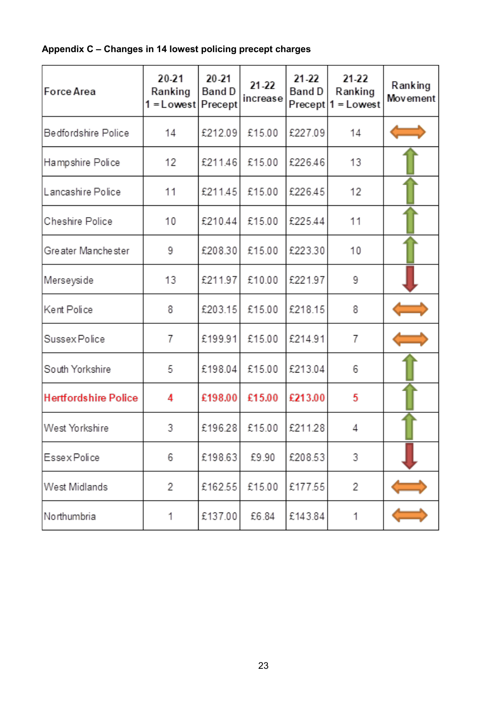# **Appendix C – Changes in 14 lowest policing precept charges**

| Force Area                  | 20-21<br>Ranking<br>1 = Lowest Precept | $20 - 21$<br><b>Band D</b> | $21 - 22$<br>increase | $21 - 22$<br><b>Band D</b><br>Precept | 21-22<br>Ranking<br>$1 =$ Lowest | Ranking<br>Movement |
|-----------------------------|----------------------------------------|----------------------------|-----------------------|---------------------------------------|----------------------------------|---------------------|
| Bedfordshire Police         | 14                                     | £212.09                    | £15.00                | £227.09                               | 14                               |                     |
| Hampshire Police            | 12                                     | £211.46                    | £15.00                | £226.46                               | 13                               |                     |
| Lancashire Police           | 11                                     | £211.45                    | £15.00                | £226.45                               | 12                               |                     |
| Cheshire Police             | 10                                     | £210.44                    | £15.00                | £225.44                               | 11                               |                     |
| Greater Manchester          | 9                                      | £208.30                    | £15.00                | £223.30                               | 10                               |                     |
| Merseyside                  | 13                                     | £211.97                    | £10.00                | £221.97                               | 9                                |                     |
| Kent Police                 | 8                                      | £203.15                    | £15.00                | £218.15                               | 8                                |                     |
| Sussex Police               | 7                                      | £199.91                    | £15.00                | £214.91                               | 7                                |                     |
| South Yorkshire             | 5                                      | £198.04                    | £15.00                | £213.04                               | 6                                |                     |
| <b>Hertfordshire Police</b> | 4                                      | £198.00                    | £15.00                | £213.00                               | 5                                |                     |
| West Yorkshire              | 3                                      | £196.28                    | £15.00                | £211.28                               | 4                                |                     |
| <b>Essex Police</b>         | 6                                      | £198.63                    | £9.90                 | £208.53                               | 3                                |                     |
| West Midlands               | 2                                      | £162.55                    | £15.00                | £177.55                               | 2                                |                     |
| Northumbria                 | 1                                      | £137.00                    | £6.84                 | £143.84                               | 1                                |                     |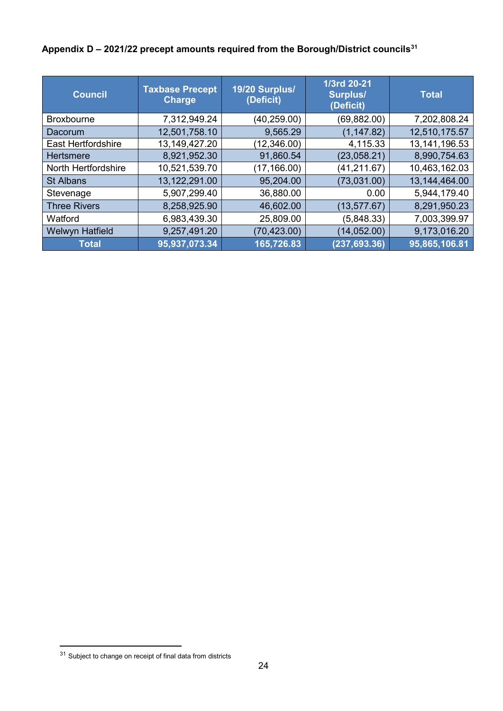# **Appendix D – 2021/22 precept amounts required from the Borough/District council[s31](#page-23-0)**

| <b>Council</b>            | <b>Taxbase Precept</b><br><b>Charge</b> | 19/20 Surplus/<br>(Deficit) | 1/3rd 20-21<br><b>Surplus/</b><br>(Deficit) | <b>Total</b>    |
|---------------------------|-----------------------------------------|-----------------------------|---------------------------------------------|-----------------|
| <b>Broxbourne</b>         | 7,312,949.24                            | (40, 259.00)                | (69, 882.00)                                | 7,202,808.24    |
| Dacorum                   | 12,501,758.10                           | 9,565.29                    | (1, 147.82)                                 | 12,510,175.57   |
| <b>East Hertfordshire</b> | 13,149,427.20                           | (12, 346.00)                | 4,115.33                                    | 13, 141, 196.53 |
| <b>Hertsmere</b>          | 8,921,952.30                            | 91,860.54                   | (23,058.21)                                 | 8,990,754.63    |
| North Hertfordshire       | 10,521,539.70                           | (17, 166.00)                | (41, 211.67)                                | 10,463,162.03   |
| <b>St Albans</b>          | 13,122,291.00                           | 95,204.00                   | (73,031.00)                                 | 13,144,464.00   |
| Stevenage                 | 5,907,299.40                            | 36,880.00                   | 0.00                                        | 5,944,179.40    |
| <b>Three Rivers</b>       | 8,258,925.90                            | 46,602.00                   | (13, 577.67)                                | 8,291,950.23    |
| Watford                   | 6,983,439.30                            | 25,809.00                   | (5,848.33)                                  | 7,003,399.97    |
| <b>Welwyn Hatfield</b>    | 9,257,491.20                            | (70, 423.00)                | (14, 052.00)                                | 9,173,016.20    |
| <b>Total</b>              | 95,937,073.34                           | 165,726.83                  | (237, 693.36)                               | 95,865,106.81   |

<span id="page-23-0"></span> $31$  Subject to change on receipt of final data from districts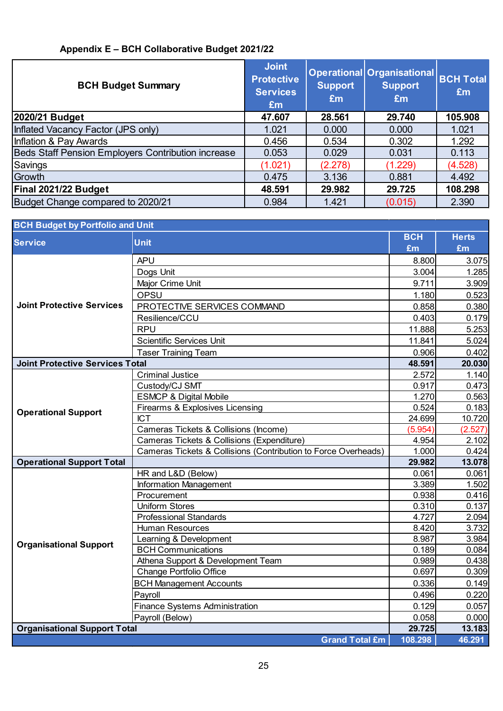# **Appendix E – BCH Collaborative Budget 2021/22**

| <b>BCH Budget Summary</b>                          | <b>Joint</b><br><b>Protective</b><br><b>Services</b><br>£m | <b>Support</b><br>£m | Operational Organisational<br><b>Support</b><br>Em | <b>BCH Total</b><br>£m |
|----------------------------------------------------|------------------------------------------------------------|----------------------|----------------------------------------------------|------------------------|
| 2020/21 Budget                                     | 47.607                                                     | 28.561               | 29.740                                             | 105.908                |
| Inflated Vacancy Factor (JPS only)                 | 1.021                                                      | 0.000                | 0.000                                              | 1.021                  |
| Inflation & Pay Awards                             | 0.456                                                      | 0.534                | 0.302                                              | 1.292                  |
| Beds Staff Pension Employers Contribution increase | 0.053                                                      | 0.029                | 0.031                                              | 0.113                  |
| Savings                                            | (1.021)                                                    | (2.278)              | (1.229)                                            | (4.528)                |
| Growth                                             | 0.475                                                      | 3.136                | 0.881                                              | 4.492                  |
| Final 2021/22 Budget                               | 48.591                                                     | 29.982               | 29.725                                             | 108.298                |
| Budget Change compared to 2020/21                  | 0.984                                                      | 1.421                | (0.015)                                            | 2.390                  |

| <b>BCH Budget by Portfolio and Unit</b> |                                                                |                  |                    |  |  |  |
|-----------------------------------------|----------------------------------------------------------------|------------------|--------------------|--|--|--|
| <b>Service</b>                          | <b>Unit</b>                                                    | <b>BCH</b><br>£m | <b>Herts</b><br>£m |  |  |  |
|                                         | <b>APU</b>                                                     | 8.800            | 3.075              |  |  |  |
|                                         | Dogs Unit                                                      | 3.004            | 1.285              |  |  |  |
|                                         | Major Crime Unit                                               | 9.711            | 3.909              |  |  |  |
| <b>Joint Protective Services</b>        | OPSU                                                           | 1.180            | 0.523              |  |  |  |
|                                         | PROTECTIVE SERVICES COMMAND                                    | 0.858            | 0.380              |  |  |  |
|                                         | Resilience/CCU                                                 | 0.403            | 0.179              |  |  |  |
|                                         | <b>RPU</b>                                                     | 11.888           | 5.253              |  |  |  |
|                                         | <b>Scientific Services Unit</b>                                | 11.841           | 5.024              |  |  |  |
|                                         | <b>Taser Training Team</b>                                     | 0.906            | 0.402              |  |  |  |
| <b>Joint Protective Services Total</b>  | 48.591                                                         | 20.030           |                    |  |  |  |
|                                         | <b>Criminal Justice</b>                                        | 2.572            | 1.140              |  |  |  |
|                                         | Custody/CJ SMT                                                 | 0.917            | 0.473              |  |  |  |
|                                         | <b>ESMCP &amp; Digital Mobile</b>                              | 1.270            | 0.563              |  |  |  |
| <b>Operational Support</b>              | Firearms & Explosives Licensing                                |                  | 0.183              |  |  |  |
|                                         | <b>ICT</b>                                                     | 24.699           | 10.720             |  |  |  |
|                                         | Cameras Tickets & Collisions (Income)                          | (5.954)          | (2.527)            |  |  |  |
|                                         | Cameras Tickets & Collisions (Expenditure)                     | 4.954            | 2.102              |  |  |  |
|                                         | Cameras Tickets & Collisions (Contribution to Force Overheads) | 1.000            | 0.424              |  |  |  |
| <b>Operational Support Total</b>        |                                                                | 29.982           | 13.078             |  |  |  |
|                                         | HR and L&D (Below)                                             | 0.061            | 0.061              |  |  |  |
|                                         | <b>Information Management</b>                                  | 3.389            | 1.502              |  |  |  |
|                                         | Procurement                                                    | 0.938            | 0.416              |  |  |  |
|                                         | <b>Uniform Stores</b>                                          | 0.310            | 0.137              |  |  |  |
|                                         | <b>Professional Standards</b>                                  | 4.727            | 2.094              |  |  |  |
|                                         | <b>Human Resources</b>                                         | 8.420            | 3.732              |  |  |  |
| <b>Organisational Support</b>           | Learning & Development                                         | 8.987            | 3.984              |  |  |  |
|                                         | <b>BCH Communications</b>                                      | 0.189            | 0.084              |  |  |  |
|                                         | Athena Support & Development Team                              | 0.989            | 0.438              |  |  |  |
|                                         | Change Portfolio Office                                        | 0.697            | 0.309              |  |  |  |
|                                         | <b>BCH Management Accounts</b>                                 | 0.336            | 0.149              |  |  |  |
|                                         | Payroll                                                        | 0.496            | 0.220              |  |  |  |
|                                         | <b>Finance Systems Administration</b>                          | 0.129            | 0.057              |  |  |  |
|                                         | Payroll (Below)                                                | 0.058            | 0.000              |  |  |  |
| <b>Organisational Support Total</b>     |                                                                | 29.725           | 13.183             |  |  |  |
|                                         | <b>Grand Total £m</b>                                          | 108.298          | 46.291             |  |  |  |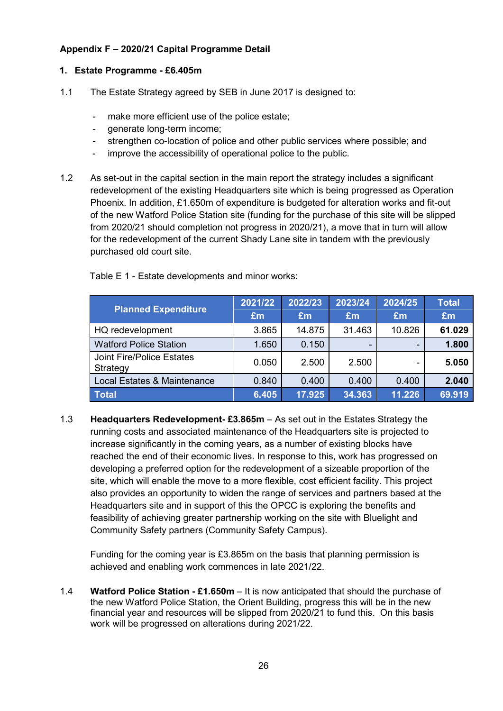# **Appendix F – 2020/21 Capital Programme Detail**

## **1. Estate Programme - £6.405m**

- 1.1 The Estate Strategy agreed by SEB in June 2017 is designed to:
	- make more efficient use of the police estate;
	- generate long-term income;
	- strengthen co-location of police and other public services where possible; and
	- improve the accessibility of operational police to the public.
- 1.2 As set-out in the capital section in the main report the strategy includes a significant redevelopment of the existing Headquarters site which is being progressed as Operation Phoenix. In addition, £1.650m of expenditure is budgeted for alteration works and fit-out of the new Watford Police Station site (funding for the purchase of this site will be slipped from 2020/21 should completion not progress in 2020/21), a move that in turn will allow for the redevelopment of the current Shady Lane site in tandem with the previously purchased old court site.

|                                              | 2021/22 | 2022/23 | 2023/24 | 2024/25 | <b>Total</b> |
|----------------------------------------------|---------|---------|---------|---------|--------------|
| <b>Planned Expenditure</b>                   | Em      | Em      | Em      | Em      | £m           |
| HQ redevelopment                             | 3.865   | 14.875  | 31.463  | 10.826  | 61.029       |
| <b>Watford Police Station</b>                | 1.650   | 0.150   |         |         | 1.800        |
| <b>Joint Fire/Police Estates</b><br>Strategy | 0.050   | 2.500   | 2.500   |         | 5.050        |
| Local Estates & Maintenance                  | 0.840   | 0.400   | 0.400   | 0.400   | 2.040        |
| Total                                        | 6.405   | 17.925  | 34.363  | 11.226  | 69.919       |

Table E 1 - Estate developments and minor works:

1.3 **Headquarters Redevelopment- £3.865m** – As set out in the Estates Strategy the running costs and associated maintenance of the Headquarters site is projected to increase significantly in the coming years, as a number of existing blocks have reached the end of their economic lives. In response to this, work has progressed on developing a preferred option for the redevelopment of a sizeable proportion of the site, which will enable the move to a more flexible, cost efficient facility. This project also provides an opportunity to widen the range of services and partners based at the Headquarters site and in support of this the OPCC is exploring the benefits and feasibility of achieving greater partnership working on the site with Bluelight and Community Safety partners (Community Safety Campus).

Funding for the coming year is £3.865m on the basis that planning permission is achieved and enabling work commences in late 2021/22.

1.4 **Watford Police Station - £1.650m** – It is now anticipated that should the purchase of the new Watford Police Station, the Orient Building, progress this will be in the new financial year and resources will be slipped from 2020/21 to fund this. On this basis work will be progressed on alterations during 2021/22.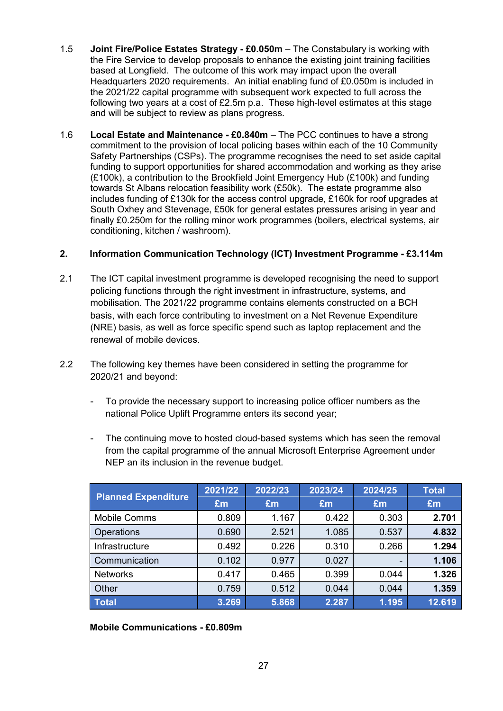- 1.5 **Joint Fire/Police Estates Strategy - £0.050m** The Constabulary is working with the Fire Service to develop proposals to enhance the existing joint training facilities based at Longfield. The outcome of this work may impact upon the overall Headquarters 2020 requirements. An initial enabling fund of £0.050m is included in the 2021/22 capital programme with subsequent work expected to full across the following two years at a cost of £2.5m p.a. These high-level estimates at this stage and will be subject to review as plans progress.
- 1.6 **Local Estate and Maintenance - £0.840m** The PCC continues to have a strong commitment to the provision of local policing bases within each of the 10 Community Safety Partnerships (CSPs). The programme recognises the need to set aside capital funding to support opportunities for shared accommodation and working as they arise (£100k), a contribution to the Brookfield Joint Emergency Hub (£100k) and funding towards St Albans relocation feasibility work (£50k). The estate programme also includes funding of £130k for the access control upgrade, £160k for roof upgrades at South Oxhey and Stevenage, £50k for general estates pressures arising in year and finally £0.250m for the rolling minor work programmes (boilers, electrical systems, air conditioning, kitchen / washroom).

# **2. Information Communication Technology (ICT) Investment Programme - £3.114m**

- 2.1 The ICT capital investment programme is developed recognising the need to support policing functions through the right investment in infrastructure, systems, and mobilisation. The 2021/22 programme contains elements constructed on a BCH basis, with each force contributing to investment on a Net Revenue Expenditure (NRE) basis, as well as force specific spend such as laptop replacement and the renewal of mobile devices.
- 2.2 The following key themes have been considered in setting the programme for 2020/21 and beyond:
	- To provide the necessary support to increasing police officer numbers as the national Police Uplift Programme enters its second year;
	- The continuing move to hosted cloud-based systems which has seen the removal from the capital programme of the annual Microsoft Enterprise Agreement under NEP an its inclusion in the revenue budget.

| <b>Planned Expenditure</b> | 2021/22 | 2022/23 | 2023/24 | 2024/25 | <b>Total</b> |
|----------------------------|---------|---------|---------|---------|--------------|
|                            | £m      | £m      | £m      | £m      | £m           |
| <b>Mobile Comms</b>        | 0.809   | 1.167   | 0.422   | 0.303   | 2.701        |
| <b>Operations</b>          | 0.690   | 2.521   | 1.085   | 0.537   | 4.832        |
| Infrastructure             | 0.492   | 0.226   | 0.310   | 0.266   | 1.294        |
| Communication              | 0.102   | 0.977   | 0.027   |         | 1.106        |
| <b>Networks</b>            | 0.417   | 0.465   | 0.399   | 0.044   | 1.326        |
| Other                      | 0.759   | 0.512   | 0.044   | 0.044   | 1.359        |
| Total                      | 3.269   | 5.868   | 2.287   | 1.195   | 12.619       |

**Mobile Communications - £0.809m**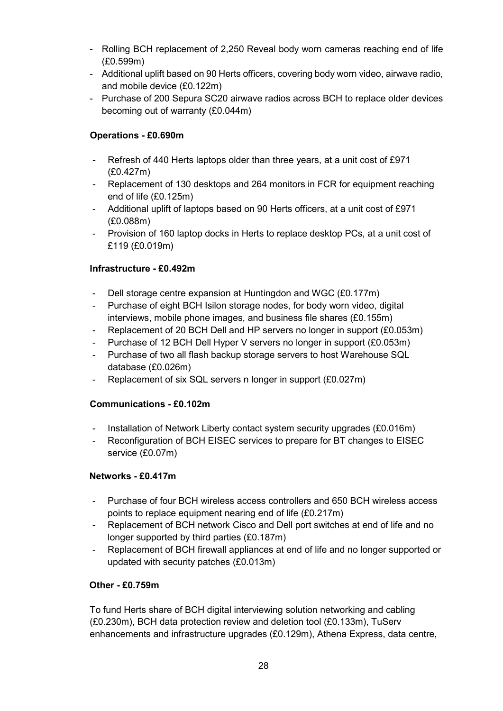- Rolling BCH replacement of 2,250 Reveal body worn cameras reaching end of life (£0.599m)
- Additional uplift based on 90 Herts officers, covering body worn video, airwave radio, and mobile device (£0.122m)
- Purchase of 200 Sepura SC20 airwave radios across BCH to replace older devices becoming out of warranty (£0.044m)

# **Operations - £0.690m**

- Refresh of 440 Herts laptops older than three years, at a unit cost of £971 (£0.427m)
- Replacement of 130 desktops and 264 monitors in FCR for equipment reaching end of life (£0.125m)
- Additional uplift of laptops based on 90 Herts officers, at a unit cost of £971 (£0.088m)
- Provision of 160 laptop docks in Herts to replace desktop PCs, at a unit cost of £119 (£0.019m)

## **Infrastructure - £0.492m**

- Dell storage centre expansion at Huntingdon and WGC (£0.177m)
- Purchase of eight BCH Isilon storage nodes, for body worn video, digital interviews, mobile phone images, and business file shares (£0.155m)
- Replacement of 20 BCH Dell and HP servers no longer in support (£0.053m)
- Purchase of 12 BCH Dell Hyper V servers no longer in support (£0.053m)
- Purchase of two all flash backup storage servers to host Warehouse SQL database (£0.026m)
- Replacement of six SQL servers n longer in support (£0.027m)

#### **Communications - £0.102m**

- Installation of Network Liberty contact system security upgrades (£0.016m)
- Reconfiguration of BCH EISEC services to prepare for BT changes to EISEC service (£0.07m)

## **Networks - £0.417m**

- Purchase of four BCH wireless access controllers and 650 BCH wireless access points to replace equipment nearing end of life (£0.217m)
- Replacement of BCH network Cisco and Dell port switches at end of life and no longer supported by third parties (£0.187m)
- Replacement of BCH firewall appliances at end of life and no longer supported or updated with security patches (£0.013m)

#### **Other - £0.759m**

To fund Herts share of BCH digital interviewing solution networking and cabling (£0.230m), BCH data protection review and deletion tool (£0.133m), TuServ enhancements and infrastructure upgrades (£0.129m), Athena Express, data centre,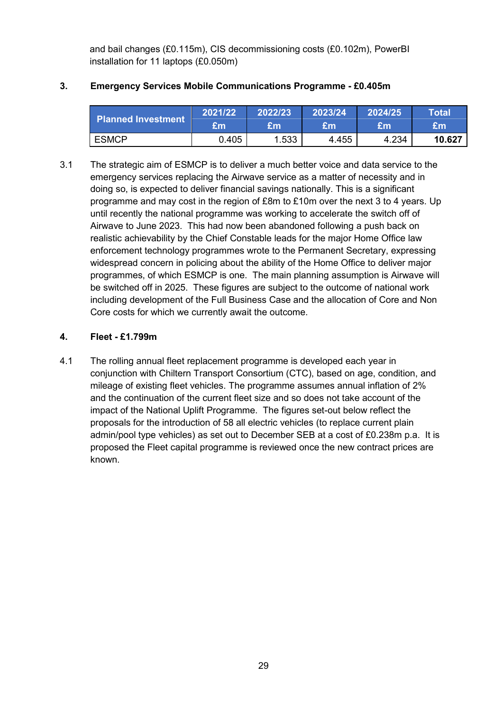and bail changes (£0.115m), CIS decommissioning costs (£0.102m), PowerBI installation for 11 laptops (£0.050m)

| Planned Investment | 2021/22 | 2022/23 | 2023/24 | 2024/25 | <b>Total</b> |
|--------------------|---------|---------|---------|---------|--------------|
|                    | £m      | £m      | £m      | '£m     | £m           |
| <b>ESMCP</b>       | 0.405   | 1.533   | 4.455   | 4.234   | 10.627       |

## **3. Emergency Services Mobile Communications Programme - £0.405m**

3.1 The strategic aim of ESMCP is to deliver a much better voice and data service to the emergency services replacing the Airwave service as a matter of necessity and in doing so, is expected to deliver financial savings nationally. This is a significant programme and may cost in the region of £8m to £10m over the next 3 to 4 years. Up until recently the national programme was working to accelerate the switch off of Airwave to June 2023. This had now been abandoned following a push back on realistic achievability by the Chief Constable leads for the major Home Office law enforcement technology programmes wrote to the Permanent Secretary, expressing widespread concern in policing about the ability of the Home Office to deliver major programmes, of which ESMCP is one. The main planning assumption is Airwave will be switched off in 2025. These figures are subject to the outcome of national work including development of the Full Business Case and the allocation of Core and Non Core costs for which we currently await the outcome.

## **4. Fleet - £1.799m**

4.1 The rolling annual fleet replacement programme is developed each year in conjunction with Chiltern Transport Consortium (CTC), based on age, condition, and mileage of existing fleet vehicles. The programme assumes annual inflation of 2% and the continuation of the current fleet size and so does not take account of the impact of the National Uplift Programme. The figures set-out below reflect the proposals for the introduction of 58 all electric vehicles (to replace current plain admin/pool type vehicles) as set out to December SEB at a cost of £0.238m p.a. It is proposed the Fleet capital programme is reviewed once the new contract prices are known.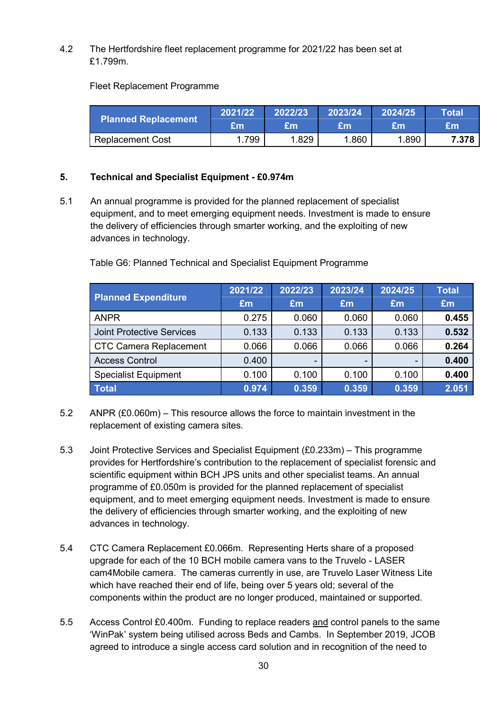# 4.2 The Hertfordshire fleet replacement programme for 2021/22 has been set at £1.799m.

Fleet Replacement Programme

| <b>Planned Replacement</b> | 2021/22 | 2022/23 | 2023/24 | 2024/25 | Total |
|----------------------------|---------|---------|---------|---------|-------|
|                            | £m      | £m      | 'am     | £m      | £m    |
| <b>Replacement Cost</b>    | 1.799   | 1.829   | . 860   | .890    | 7.378 |

# **5. Technical and Specialist Equipment - £0.974m**

5.1 An annual programme is provided for the planned replacement of specialist equipment, and to meet emerging equipment needs. Investment is made to ensure the delivery of efficiencies through smarter working, and the exploiting of new advances in technology.

|                                  | 2021/22 | 2022/23 | 2023/24 | 2024/25 | <b>Total</b> |
|----------------------------------|---------|---------|---------|---------|--------------|
| <b>Planned Expenditure</b>       | £m      | Em      | Em      | £m      | Em           |
| <b>ANPR</b>                      | 0.275   | 0.060   | 0.060   | 0.060   | 0.455        |
| <b>Joint Protective Services</b> | 0.133   | 0.133   | 0.133   | 0.133   | 0.532        |
| <b>CTC Camera Replacement</b>    | 0.066   | 0.066   | 0.066   | 0.066   | 0.264        |
| <b>Access Control</b>            | 0.400   |         |         | -       | 0.400        |
| <b>Specialist Equipment</b>      | 0.100   | 0.100   | 0.100   | 0.100   | 0.400        |
| <b>Total</b>                     | 0.974   | 0.359   | 0.359   | 0.359   | 2.051        |

Table G6: Planned Technical and Specialist Equipment Programme

- 5.2 ANPR (£0.060m) This resource allows the force to maintain investment in the replacement of existing camera sites.
- 5.3 Joint Protective Services and Specialist Equipment (£0.233m) This programme provides for Hertfordshire's contribution to the replacement of specialist forensic and scientific equipment within BCH JPS units and other specialist teams. An annual programme of £0.050m is provided for the planned replacement of specialist equipment, and to meet emerging equipment needs. Investment is made to ensure the delivery of efficiencies through smarter working, and the exploiting of new advances in technology.
- 5.4 CTC Camera Replacement £0.066m. Representing Herts share of a proposed upgrade for each of the 10 BCH mobile camera vans to the Truvelo - LASER cam4Mobile camera. The cameras currently in use, are Truvelo Laser Witness Lite which have reached their end of life, being over 5 years old; several of the components within the product are no longer produced, maintained or supported.
- 5.5 Access Control £0.400m. Funding to replace readers and control panels to the same 'WinPak' system being utilised across Beds and Cambs. In September 2019, JCOB agreed to introduce a single access card solution and in recognition of the need to